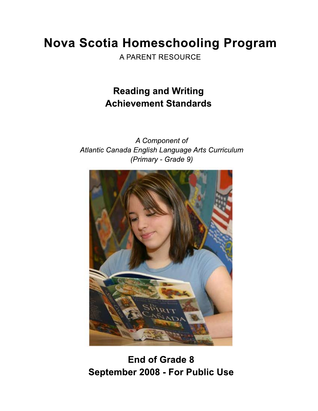## **Nova Scotia Homeschooling Program**

A PARENT RESOURCE

## **Reading and Writing Achievement Standards**

A Component of *AtlanticCanadaEnglishLanguageArtsCurriculum (Primary-Grade9)*



**End of Grade 8 September 2008 - For Public Use**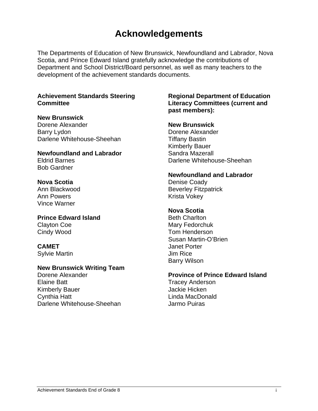## **Acknowledgements**

The Departments of Education of New Brunswick, Newfoundland and Labrador, Nova Scotia, and Prince Edward Island gratefully acknowledge the contributions of Department and School District/Board personnel, as well as many teachers to the development of the achievement standards documents.

#### **Achievement Standards Steering Committee**

**New Brunswick**  Dorene Alexander Barry Lydon Darlene Whitehouse-Sheehan

**Newfoundland and Labrador**  Eldrid Barnes Bob Gardner

#### **Nova Scotia**

Ann Blackwood Ann Powers Vince Warner

**Prince Edward Island**  Clayton Coe Cindy Wood

## **CAMET**

Sylvie Martin

#### **New Brunswick Writing Team**

Dorene Alexander Elaine Batt Kimberly Bauer Cynthia Hatt Darlene Whitehouse-Sheehan

#### **Regional Department of Education Literacy Committees (current and past members):**

#### **New Brunswick**

Dorene Alexander Tiffany Bastin Kimberly Bauer Sandra Mazerall Darlene Whitehouse-Sheehan

#### **Newfoundland and Labrador**

Denise Coady Beverley Fitzpatrick Krista Vokey

#### **Nova Scotia**

Beth Charlton Mary Fedorchuk Tom Henderson Susan Martin-O'Brien Janet Porter Jim Rice Barry Wilson

#### **Province of Prince Edward Island**

Tracey Anderson Jackie Hicken Linda MacDonald Jarmo Puiras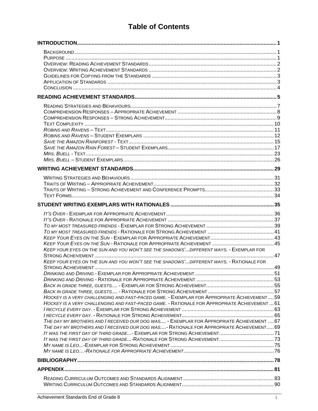## **Table of Contents**

| KEEP YOUR EYES ON THE SUN AND YOU WON'T SEE THE SHADOWS' DIFFERENT WAYS. - EXEMPLAR FOR                                                                                                      |  |
|----------------------------------------------------------------------------------------------------------------------------------------------------------------------------------------------|--|
| KEEP YOUR EYES ON THE SUN AND YOU WON'T SEE THE SHADOWS' DIFFERENT WAYS. - RATIONALE FOR                                                                                                     |  |
|                                                                                                                                                                                              |  |
| HOCKEY IS A VERY CHALLENGING AND FAST-PACED GAME. - EXEMPLAR FOR APPROPRIATE ACHIEVEMENT 59<br>HOCKEY IS A VERY CHALLENGING AND FAST-PACED GAME. - RATIONALE FOR APPROPRIATE ACHIEVEMENT  61 |  |
| THE DAY MY BROTHERS AND I RECEIVED OUR DOG WAS - EXEMPLAR FOR APPROPRIATE ACHIEVEMENT  67<br>THE DAY MY BROTHERS AND I RECEIVED OUR DOG WAS- RATIONALE FOR APPROPRIATE ACHIEVEMENT 69        |  |
|                                                                                                                                                                                              |  |
|                                                                                                                                                                                              |  |
|                                                                                                                                                                                              |  |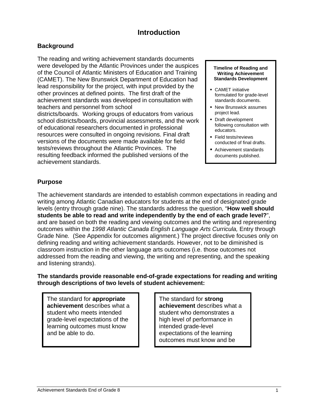## **Introduction**

#### **Background**

The reading and writing achievement standards documents were developed by the Atlantic Provinces under the auspices of the Council of Atlantic Ministers of Education and Training (CAMET). The New Brunswick Department of Education had lead responsibility for the project, with input provided by the other provinces at defined points. The first draft of the achievement standards was developed in consultation with teachers and personnel from school districts/boards. Working groups of educators from various school districts/boards, provincial assessments, and the work of educational researchers documented in professional resources were consulted in ongoing revisions. Final draft versions of the documents were made available for field tests/reviews throughout the Atlantic Provinces. The resulting feedback informed the published versions of the achievement standards.

#### **Timeline of Reading and Writing Achievement Standards Development**

- CAMET initiative formulated for grade-level standards documents.
- New Brunswick assumes project lead.
- Draft development following consultation with educators.
- Field tests/reviews conducted of final drafts.
- Achievement standards documents published.

#### **Purpose**

The achievement standards are intended to establish common expectations in reading and writing among Atlantic Canadian educators for students at the end of designated grade levels (entry through grade nine). The standards address the question, "**How well should students be able to read and write independently by the end of each grade level?**", and are based on both the reading and viewing outcomes and the writing and representing outcomes within the *1998 Atlantic Canada English Language Arts Curricula,* Entry through Grade Nine*.* (See Appendix for outcomes alignment.) The project directive focuses only on defining reading and writing achievement standards. However, not to be diminished is classroom instruction in the other language arts outcomes (i.e. those outcomes not addressed from the reading and viewing, the writing and representing, and the speaking and listening strands).

**The standards provide reasonable end-of-grade expectations for reading and writing through descriptions of two levels of student achievement:** 

The standard for **appropriate achievement** describes what a student who meets intended grade-level expectations of the learning outcomes must know and be able to do.

The standard for **strong achievement** describes what a student who demonstrates a high level of performance in intended grade-level expectations of the learning outcomes must know and be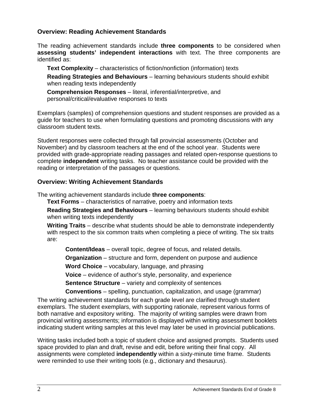#### **Overview: Reading Achievement Standards**

The reading achievement standards include **three components** to be considered when **assessing students' independent interactions** with text. The three components are identified as:

**Text Complexity** – characteristics of fiction/nonfiction (information) texts **Reading Strategies and Behaviours** – learning behaviours students should exhibit when reading texts independently

**Comprehension Responses** – literal, inferential/interpretive, and personal/critical/evaluative responses to texts

Exemplars (samples) of comprehension questions and student responses are provided as a guide for teachers to use when formulating questions and promoting discussions with any classroom student texts.

Student responses were collected through fall provincial assessments (October and November) and by classroom teachers at the end of the school year. Students were provided with grade-appropriate reading passages and related open-response questions to complete **independent** writing tasks. No teacher assistance could be provided with the reading or interpretation of the passages or questions.

#### **Overview: Writing Achievement Standards**

The writing achievement standards include **three components**:

**Text Forms** – characteristics of narrative, poetry and information texts **Reading Strategies and Behaviours** – learning behaviours students should exhibit when writing texts independently

**Writing Traits** – describe what students should be able to demonstrate independently with respect to the six common traits when completing a piece of writing. The six traits are:

**Content/Ideas** – overall topic, degree of focus, and related details.

**Organization** – structure and form, dependent on purpose and audience

**Word Choice** – vocabulary, language, and phrasing

**Voice** – evidence of author's style, personality, and experience

**Sentence Structure** – variety and complexity of sentences

**Conventions** – spelling, punctuation, capitalization, and usage (grammar)

The writing achievement standards for each grade level are clarified through student exemplars. The student exemplars, with supporting rationale, represent various forms of both narrative and expository writing. The majority of writing samples were drawn from provincial writing assessments; information is displayed within writing assessment booklets indicating student writing samples at this level may later be used in provincial publications.

Writing tasks included both a topic of student choice and assigned prompts. Students used space provided to plan and draft, revise and edit, before writing their final copy. All assignments were completed **independently** within a sixty-minute time frame. Students were reminded to use their writing tools (e.g., dictionary and thesaurus).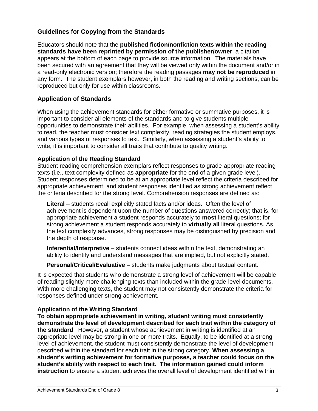#### **Guidelines for Copying from the Standards**

Educators should note that the **published fiction/nonfiction texts within the reading standards have been reprinted by permission of the publisher/owner**; a citation appears at the bottom of each page to provide source information. The materials have been secured with an agreement that they will be viewed only within the document and/or in a read-only electronic version; therefore the reading passages **may not be reproduced** in any form. The student exemplars however, in both the reading and writing sections, can be reproduced but only for use within classrooms.

#### **Application of Standards**

When using the achievement standards for either formative or summative purposes, it is important to consider all elements of the standards and to give students multiple opportunities to demonstrate their abilities. For example, when assessing a student's ability to read, the teacher must consider text complexity, reading strategies the student employs, and various types of responses to text. Similarly, when assessing a student's ability to write, it is important to consider all traits that contribute to quality writing.

#### **Application of the Reading Standard**

Student reading comprehension exemplars reflect responses to grade-appropriate reading texts (i.e., text complexity defined as **appropriate** for the end of a given grade level). Student responses determined to be at an appropriate level reflect the criteria described for appropriate achievement; and student responses identified as strong achievement reflect the criteria described for the strong level. Comprehension responses are defined as:

**Literal** – students recall explicitly stated facts and/or ideas. Often the level of achievement is dependent upon the number of questions answered correctly; that is, for appropriate achievement a student responds accurately to **most** literal questions; for strong achievement a student responds accurately to **virtually all** literal questions. As the text complexity advances, strong responses may be distinguished by precision and the depth of response.

**Inferential/Interpretive** – students connect ideas within the text, demonstrating an ability to identify and understand messages that are implied, but not explicitly stated.

**Personal/Critical/Evaluative** – students make judgments about textual content.

It is expected that students who demonstrate a strong level of achievement will be capable of reading slightly more challenging texts than included within the grade-level documents. With more challenging texts, the student may not consistently demonstrate the criteria for responses defined under strong achievement.

#### **Application of the Writing Standard**

**To obtain appropriate achievement in writing, student writing must consistently demonstrate the level of development described for each trait within the category of the standard**. However, a student whose achievement in writing is identified at an appropriate level may be strong in one or more traits. Equally, to be identified at a strong level of achievement, the student must consistently demonstrate the level of development described within the standard for each trait in the strong category. **When assessing a student's writing achievement for formative purposes, a teacher could focus on the student's ability with respect to each trait. The information gained could inform instruction** to ensure a student achieves the overall level of development identified within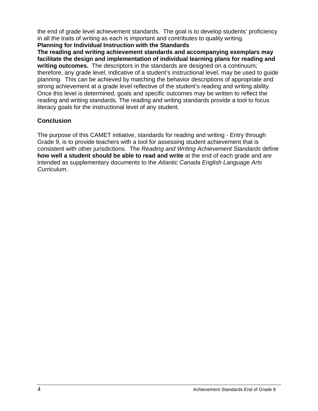the end of grade level achievement standards. The goal is to develop students' proficiency in all the traits of writing as each is important and contributes to quality writing.

**Planning for Individual Instruction with the Standards** 

**The reading and writing achievement standards and accompanying exemplars may facilitate the design and implementation of individual learning plans for reading and writing outcomes.** The descriptors in the standards are designed on a continuum; therefore, any grade level, indicative of a student's instructional level, may be used to guide planning. This can be achieved by matching the behavior descriptions of appropriate and strong achievement at a grade level reflective of the student's reading and writing ability. Once this level is determined, goals and specific outcomes may be written to reflect the reading and writing standards. The reading and writing standards provide a tool to focus literacy goals for the instructional level of any student.

## **Conclusion**

The purpose of this CAMET initiative, standards for reading and writing - Entry through Grade 9, is to provide teachers with a tool for assessing student achievement that is consistent with other jurisdictions. The *Reading and Writing Achievement Standards* define **how well a student should be able to read and write** at the end of each grade and are intended as supplementary documents to the *Atlantic Canada English Language Arts Curriculum*.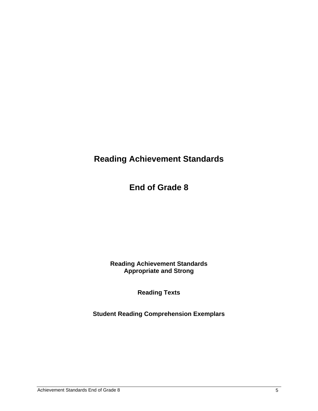## **Reading Achievement Standards**

**End of Grade 8** 

**Reading Achievement Standards Appropriate and Strong** 

**Reading Texts** 

**Student Reading Comprehension Exemplars**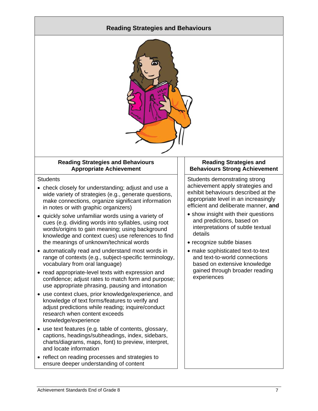## **Reading Strategies and Behaviours Reading Strategies and Behaviours Appropriate Achievement Reading Strategies and Behaviours Strong Achievement Students** • check closely for understanding; adjust and use a wide variety of strategies (e.g., generate questions, make connections, organize significant information in notes or with graphic organizers) • quickly solve unfamiliar words using a variety of cues (e.g. dividing words into syllables, using root words/origins to gain meaning; using background knowledge and context cues) use references to find the meanings of unknown/technical words • automatically read and understand most words in range of contexts (e.g., subject-specific terminology, vocabulary from oral language) Students demonstrating strong achievement apply strategies and exhibit behaviours described at the appropriate level in an increasingly efficient and deliberate manner, **and** • show insight with their questions and predictions, based on interpretations of subtle textual details • recognize subtle biases • make sophisticated text-to-text and text-to-world connections based on extensive knowledge

- read appropriate-level texts with expression and confidence; adjust rates to match form and purpose; use appropriate phrasing, pausing and intonation
- use context clues, prior knowledge/experience, and knowledge of text forms/features to verify and adjust predictions while reading; inquire/conduct research when content exceeds knowledge/experience
- use text features (e.g. table of contents, glossary, captions, headings/subheadings, index, sidebars, charts/diagrams, maps, font) to preview, interpret, and locate information
- reflect on reading processes and strategies to ensure deeper understanding of content

gained through broader reading experiences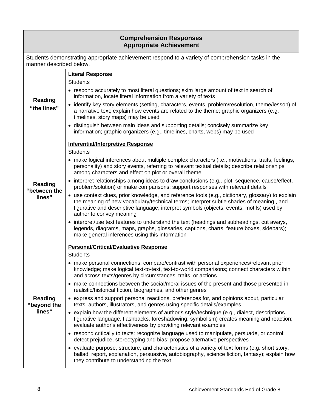#### **Comprehension Responses Appropriate Achievement**

| Students demonstrating appropriate achievement respond to a variety of comprehension tasks in the<br>manner described below. |                                                                                                                                                                                                                                                                                                                                                                                                                                                                                                                                                                                                                                                                                                                                                                                                                                                                                                                                                                                                                                                                                                                                                                                                                                                                                                                                                            |  |  |  |
|------------------------------------------------------------------------------------------------------------------------------|------------------------------------------------------------------------------------------------------------------------------------------------------------------------------------------------------------------------------------------------------------------------------------------------------------------------------------------------------------------------------------------------------------------------------------------------------------------------------------------------------------------------------------------------------------------------------------------------------------------------------------------------------------------------------------------------------------------------------------------------------------------------------------------------------------------------------------------------------------------------------------------------------------------------------------------------------------------------------------------------------------------------------------------------------------------------------------------------------------------------------------------------------------------------------------------------------------------------------------------------------------------------------------------------------------------------------------------------------------|--|--|--|
| <b>Reading</b><br>"the lines"                                                                                                | <b>Literal Response</b><br><b>Students</b><br>• respond accurately to most literal questions; skim large amount of text in search of<br>information, locate literal information from a variety of texts<br>• identify key story elements (setting, characters, events, problem/resolution, theme/lesson) of<br>a narrative text; explain how events are related to the theme; graphic organizers (e.g.<br>timelines, story maps) may be used<br>• distinguish between main ideas and supporting details; concisely summarize key<br>information; graphic organizers (e.g., timelines, charts, webs) may be used                                                                                                                                                                                                                                                                                                                                                                                                                                                                                                                                                                                                                                                                                                                                            |  |  |  |
| <b>Reading</b><br>"between the<br>lines"                                                                                     | <b>Inferential/Interpretive Response</b><br><b>Students</b><br>• make logical inferences about multiple complex characters (i.e., motivations, traits, feelings,<br>personality) and story events, referring to relevant textual details; describe relationships<br>among characters and effect on plot or overall theme<br>• interpret relationships among ideas to draw conclusions (e.g., plot, sequence, cause/effect,<br>problem/solution) or make comparisons; support responses with relevant details<br>• use context clues, prior knowledge, and reference tools (e.g., dictionary, glossary) to explain<br>the meaning of new vocabulary/technical terms; interpret subtle shades of meaning, and<br>figurative and descriptive language; interpret symbols (objects, events, motifs) used by<br>author to convey meaning<br>• interpret/use text features to understand the text (headings and subheadings, cut aways,<br>legends, diagrams, maps, graphs, glossaries, captions, charts, feature boxes, sidebars);<br>make general inferences using this information                                                                                                                                                                                                                                                                            |  |  |  |
| <b>Reading</b><br>"beyond the<br>lines"                                                                                      | <b>Personal/Critical/Evaluative Response</b><br><b>Students</b><br>• make personal connections: compare/contrast with personal experiences/relevant prior<br>knowledge; make logical text-to-text, text-to-world comparisons; connect characters within<br>and across texts/genres by circumstances, traits, or actions<br>• make connections between the social/moral issues of the present and those presented in<br>realistic/historical fiction, biographies, and other genres<br>• express and support personal reactions, preferences for, and opinions about, particular<br>texts, authors, illustrators, and genres using specific details/examples<br>• explain how the different elements of author's style/technique (e.g., dialect, descriptions.<br>figurative language, flashbacks, foreshadowing, symbolism) creates meaning and reaction;<br>evaluate author's effectiveness by providing relevant examples<br>• respond critically to texts: recognize language used to manipulate, persuade, or control;<br>detect prejudice, stereotyping and bias; propose alternative perspectives<br>• evaluate purpose, structure, and characteristics of a variety of text forms (e.g. short story,<br>ballad, report, explanation, persuasive, autobiography, science fiction, fantasy); explain how<br>they contribute to understanding the text |  |  |  |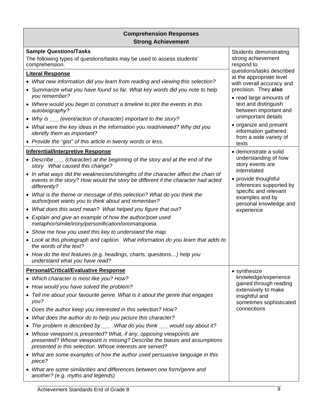| <b>Comprehension Responses</b>                                                                                                                                                                                                                                                                                                                                                                                                                                                                                                                                                                                                                                                                                                                                                                                                                                                                                                                                  |                                                                                                                                                                                                                                                                                                    |  |  |  |
|-----------------------------------------------------------------------------------------------------------------------------------------------------------------------------------------------------------------------------------------------------------------------------------------------------------------------------------------------------------------------------------------------------------------------------------------------------------------------------------------------------------------------------------------------------------------------------------------------------------------------------------------------------------------------------------------------------------------------------------------------------------------------------------------------------------------------------------------------------------------------------------------------------------------------------------------------------------------|----------------------------------------------------------------------------------------------------------------------------------------------------------------------------------------------------------------------------------------------------------------------------------------------------|--|--|--|
| <b>Strong Achievement</b>                                                                                                                                                                                                                                                                                                                                                                                                                                                                                                                                                                                                                                                                                                                                                                                                                                                                                                                                       |                                                                                                                                                                                                                                                                                                    |  |  |  |
| <b>Sample Questions/Tasks</b><br>The following types of questions/tasks may be used to assess students'<br>comprehension.                                                                                                                                                                                                                                                                                                                                                                                                                                                                                                                                                                                                                                                                                                                                                                                                                                       | Students demonstrating<br>strong achievement<br>respond to                                                                                                                                                                                                                                         |  |  |  |
| <b>Literal Response</b><br>• What new information did you learn from reading and viewing this selection?<br>• Summarize what you have found so far. What key words did you note to help<br>you remember?<br>• Where would you begin to construct a timeline to plot the events in this<br>autobiography?<br>• Why is ___ (event/action of character) important to the story?<br>• What were the key ideas in the information you read/viewed? Why did you<br>identify them as important?<br>• Provide the "gist" of this article in twenty words or less.                                                                                                                                                                                                                                                                                                                                                                                                       | questions/tasks described<br>at the appropriate level<br>with overall accuracy and<br>precision. They also<br>• read large amounts of<br>text and distinguish<br>between important and<br>unimportant details<br>• organize and present<br>information gathered<br>from a wide variety of<br>texts |  |  |  |
| <b>Inferential/Interpretive Response</b><br>• Describe ___ (character) at the beginning of the story and at the end of the<br>story. What caused this change?<br>• In what ways did the weaknesses/strengths of the character affect the chain of<br>events in the story? How would the story be different if the character had acted<br>differently?<br>• What is the theme or message of this selection? What do you think the<br>author/poet wants you to think about and remember?<br>• What does this word mean? What helped you figure that out?<br>• Explain and give an example of how the author/poet used<br>metaphor/simile/irony/personification/onomatopoeia.<br>• Show me how you used this key to understand the map.<br>• Look at this photograph and caption. What information do you learn that adds to<br>the words of the text?<br>• How do the text features (e.g. headings, charts, questions) help you<br>understand what you have read? | · demonstrate a solid<br>understanding of how<br>story events are<br>interrelated<br>• provide thoughtful<br>inferences supported by<br>specific and relevant<br>examples and by<br>personal knowledge and<br>experience                                                                           |  |  |  |
| <b>Personal/Critical/Evaluative Response</b><br>Which character is most like you? How?<br>$\bullet$<br>How would you have solved the problem?<br>$\bullet$<br>Tell me about your favourite genre. What is it about the genre that engages<br>you?<br>• Does the author keep you interested in this selection? How?<br>What does the author do to help you picture this character?<br>$\bullet$<br>The problem is described by $\_\_\_\$ . What do you think $\_\_\_\$ would say about it?<br>$\bullet$<br>Whose viewpoint is presented? What, if any, opposing viewpoints are<br>$\bullet$<br>presented? Whose viewpoint is missing? Describe the biases and assumptions<br>presented in this selection. Whose interests are served?<br>What are some examples of how the author used persuasive language in this<br>$\bullet$<br>piece?<br>What are some similarities and differences between one form/genre and<br>another? (e.g. myths and legends)          | • synthesize<br>knowledge/experience<br>gained through reading<br>extensively to make<br>insightful and<br>sometimes sophisticated<br>connections                                                                                                                                                  |  |  |  |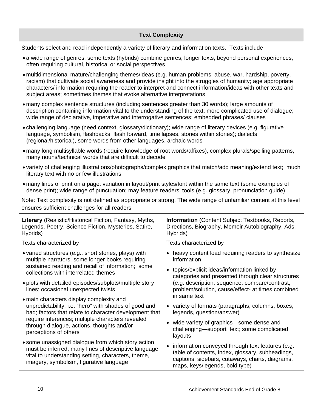#### **Text Complexity**

Students select and read independently a variety of literary and information texts. Texts include

- a wide range of genres; some texts (hybrids) combine genres; longer texts, beyond personal experiences, often requiring cultural, historical or social perspectives
- multidimensional mature/challenging themes/ideas (e.g. human problems: abuse, war, hardship, poverty, racism) that cultivate social awareness and provide insight into the struggles of humanity; age appropriate characters/ information requiring the reader to interpret and connect information/ideas with other texts and subject areas; sometimes themes that evoke alternative interpretations
- many complex sentence structures (including sentences greater than 30 words); large amounts of description containing information vital to the understanding of the text; more complicated use of dialogue; wide range of declarative, imperative and interrogative sentences; embedded phrases/ clauses
- challenging language (need context, glossary/dictionary); wide range of literary devices (e.g. figurative language, symbolism, flashbacks, flash forward, time lapses, stories within stories); dialects (regional/historical), some words from other languages, archaic words
- many long multisyllable words (require knowledge of root words/affixes), complex plurals/spelling patterns, many nouns/technical words that are difficult to decode
- variety of challenging illustrations/photographs/complex graphics that match/add meaning/extend text; much literary text with no or few illustrations
- many lines of print on a page; variation in layout/print styles/font within the same text (some examples of dense print); wide range of punctuation; may feature readers' tools (e.g. glossary, pronunciation guide)

Note: Text complexity is not defined as appropriate or strong. The wide range of unfamiliar content at this level ensures sufficient challenges for all readers

**Literary** (Realistic/Historical Fiction, Fantasy, Myths, Legends, Poetry, Science Fiction, Mysteries, Satire, Hybrids)

Texts characterized by

- varied structures (e.g., short stories, plays) with multiple narrators, some longer books requiring sustained reading and recall of information; some collections with interrelated themes
- plots with detailed episodes/subplots/multiple story lines; occasional unexpected twists
- main characters display complexity and unpredictability, i.e. "hero" with shades of good and bad; factors that relate to character development that require inferences; multiple characters revealed through dialogue, actions, thoughts and/or perceptions of others
- some unassigned dialogue from which story action must be inferred; many lines of descriptive language vital to understanding setting, characters, theme, imagery, symbolism, figurative language

**Information** (Content Subject Textbooks, Reports, Directions, Biography, Memoir Autobiography, Ads, Hybrids)

Texts characterized by

- heavy content load requiring readers to synthesize information
- topics/explicit ideas/information linked by categories and presented through clear structures (e.g. description, sequence, compare/contrast, problem/solution, cause/effect- at times combined in same text
- variety of formats (paragraphs, columns, boxes, legends, question/answer)
- wide variety of graphics—some dense and challenging—support text; some complicated layouts
- information conveyed through text features (e.g. table of contents, index, glossary, subheadings, captions, sidebars, cutaways, charts, diagrams, maps, keys/legends, bold type)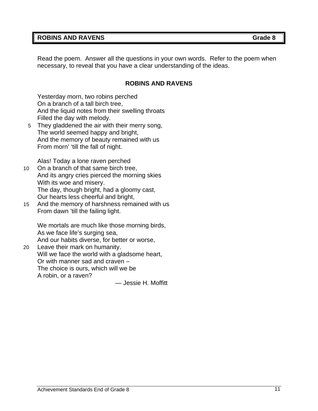Read the poem. Answer all the questions in your own words. Refer to the poem when necessary, to reveal that you have a clear understanding of the ideas.

#### **ROBINS AND RAVENS**

Yesterday morn, two robins perched On a branch of a tall birch tree, And the liquid notes from their swelling throats Filled the day with melody.

5 They gladdened the air with their merry song, The world seemed happy and bright, And the memory of beauty remained with us From morn' 'till the fall of night.

Alas! Today a lone raven perched

- 10 On a branch of that same birch tree, And its angry cries pierced the morning skies With its woe and misery. The day, though bright, had a gloomy cast, Our hearts less cheerful and bright,
- 15 And the memory of harshness remained with us From dawn 'till the failing light.

We mortals are much like those morning birds, As we face life's surging sea,

And our habits diverse, for better or worse,

20 Leave their mark on humanity. Will we face the world with a gladsome heart, Or with manner sad and craven – The choice is ours, which will we be A robin, or a raven?

— Jessie H. Moffitt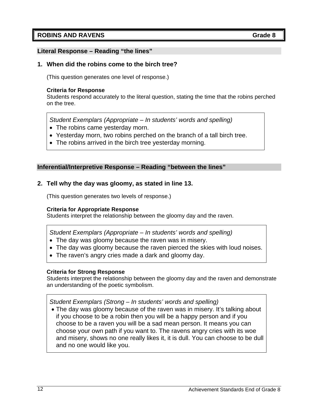#### **Literal Response – Reading "the lines"**

#### **1. When did the robins come to the birch tree?**

(This question generates one level of response.)

#### **Criteria for Response**

Students respond accurately to the literal question, stating the time that the robins perched on the tree.

*Student Exemplars (Appropriate – In students' words and spelling)* 

- The robins came yesterday morn.
- Yesterday morn, two robins perched on the branch of a tall birch tree.
- The robins arrived in the birch tree yesterday morning.

#### **Inferential/Interpretive Response – Reading "between the lines"**

#### **2. Tell why the day was gloomy, as stated in line 13.**

(This question generates two levels of response.)

#### **Criteria for Appropriate Response**

Students interpret the relationship between the gloomy day and the raven.

#### *Student Exemplars (Appropriate – In students' words and spelling)*

- The day was gloomy because the raven was in misery.
- The day was gloomy because the raven pierced the skies with loud noises.
- The raven's angry cries made a dark and gloomy day.

#### **Criteria for Strong Response**

Students interpret the relationship between the gloomy day and the raven and demonstrate an understanding of the poetic symbolism.

*Student Exemplars (Strong – In students' words and spelling)* 

• The day was gloomy because of the raven was in misery. It's talking about if you choose to be a robin then you will be a happy person and if you choose to be a raven you will be a sad mean person. It means you can choose your own path if you want to. The ravens angry cries with its woe and misery, shows no one really likes it, it is dull. You can choose to be dull and no one would like you.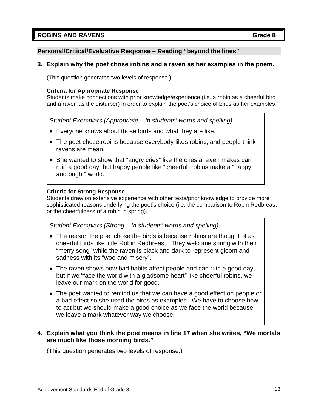#### **Personal/Critical/Evaluative Response – Reading "beyond the lines"**

#### **3. Explain why the poet chose robins and a raven as her examples in the poem.**

(This question generates two levels of response.)

#### **Criteria for Appropriate Response**

Students make connections with prior knowledge/experience (i.e. a robin as a cheerful bird and a raven as the disturber) in order to explain the poet's choice of birds as her examples.

*Student Exemplars (Appropriate – In students' words and spelling)* 

- Everyone knows about those birds and what they are like.
- The poet chose robins because everybody likes robins, and people think ravens are mean.
- She wanted to show that "angry cries" like the cries a raven makes can ruin a good day, but happy people like "cheerful" robins make a "happy and bright" world.

#### **Criteria for Strong Response**

Students draw on extensive experience with other texts/prior knowledge to provide more sophisticated reasons underlying the poet's choice (i.e. the comparison to Robin Redbreast or the cheerfulness of a robin in spring).

*Student Exemplars (Strong – In students' words and spelling)* 

- The reason the poet chose the birds is because robins are thought of as cheerful birds like little Robin Redbreast. They welcome spring with their "merry song" while the raven is black and dark to represent gloom and sadness with its "woe and misery".
- The raven shows how bad habits affect people and can ruin a good day, but if we "face the world with a gladsome heart" like cheerful robins, we leave our mark on the world for good.
- The poet wanted to remind us that we can have a good effect on people or a bad effect so she used the birds as examples. We have to choose how to act but we should make a good choice as we face the world because we leave a mark whatever way we choose.

#### **4. Explain what you think the poet means in line 17 when she writes, "We mortals are much like those morning birds."**

(This question generates two levels of response.)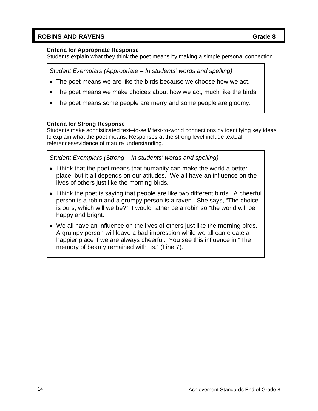#### **Criteria for Appropriate Response**

Students explain what they think the poet means by making a simple personal connection.

*Student Exemplars (Appropriate – In students' words and spelling)* 

- The poet means we are like the birds because we choose how we act.
- The poet means we make choices about how we act, much like the birds.
- The poet means some people are merry and some people are gloomy.

#### **Criteria for Strong Response**

Students make sophisticated text–to-self/ text-to-world connections by identifying key ideas to explain what the poet means. Responses at the strong level include textual references/evidence of mature understanding.

- I think that the poet means that humanity can make the world a better place, but it all depends on our atitudes. We all have an influence on the lives of others just like the morning birds.
- I think the poet is saying that people are like two different birds. A cheerful person is a robin and a grumpy person is a raven. She says, "The choice is ours, which will we be?" I would rather be a robin so "the world will be happy and bright."
- We all have an influence on the lives of others just like the morning birds. A grumpy person will leave a bad impression while we all can create a happier place if we are always cheerful. You see this influence in "The memory of beauty remained with us." (Line 7).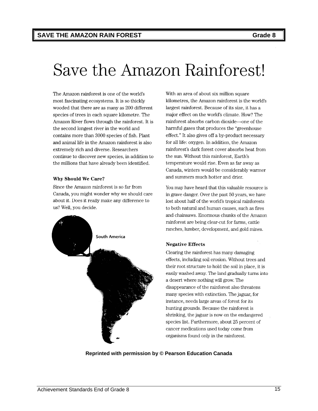# Save the Amazon Rainforest!

The Amazon rainforest is one of the world's most fascinating ecosystems. It is so thickly wooded that there are as many as 200 different species of trees in each square kilometre. The Amazon River flows through the rainforest. It is the second longest river in the world and contains more than 3000 species of fish. Plant and animal life in the Amazon rainforest is also extremely rich and diverse. Researchers continue to discover new species, in addition to the millions that have already been identified.

#### **Why Should We Care?**

Since the Amazon rainforest is so far from Canada, you might wonder why we should care about it. Does it really make any difference to us? Well, you decide.



With an area of about six million square kilometres, the Amazon rainforest is the world's largest rainforest. Because of its size, it has a major effect on the world's climate. How? The rainforest absorbs carbon dioxide—one of the harmful gases that produces the "greenhouse effect." It also gives off a by-product necessary for all life: oxygen. In addition, the Amazon rainforest's dark forest cover absorbs heat from the sun. Without this rainforest, Earth's temperature would rise. Even as far away as Canada, winters would be considerably warmer and summers much hotter and drier.

You may have heard that this valuable resource is in grave danger. Over the past 50 years, we have lost about half of the world's tropical rainforests to both natural and human causes, such as fires and chainsaws. Enormous chunks of the Amazon rainforest are being clear-cut for farms, cattle ranches, lumber, development, and gold mines.

#### **Negative Effects**

Clearing the rainforest has many damaging effects, including soil erosion. Without trees and their root structure to hold the soil in place, it is easily washed away. The land gradually turns into a desert where nothing will grow. The disappearance of the rainforest also threatens many species with extinction. The jaguar, for instance, needs large areas of forest for its hunting grounds. Because the rainforest is shrinking, the jaguar is now on the endangered species list. Furthermore, about 25 percent of cancer medications used today come from organisms found only in the rainforest.

**Reprinted with permission by © Pearson Education Canada**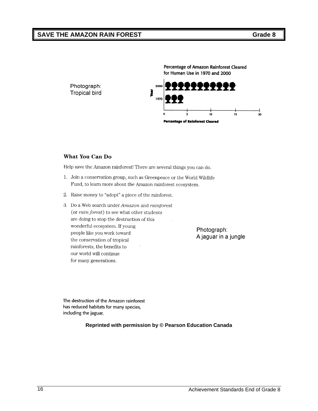

Percentage of Amazon Rainforest Cleared

#### **What You Can Do**

Help save the Amazon rainforest! There are several things you can do.

- 1. Join a conservation group, such as Greenpeace or the World Wildlife Fund, to learn more about the Amazon rainforest ecosystem.
- 2. Raise money to "adopt" a piece of the rainforest.
- 3. Do a Web search under Amazon and rainforest (or *rain forest*) to see what other students are doing to stop the destruction of this wonderful ecosystem. If young people like you work toward the conservation of tropical rainforests, the benefits to our world will continue for many generations.

Photograph: A jaguar in a jungle

The destruction of the Amazon rainforest has reduced habitats for many species, including the jaguar.

**Reprinted with permission by © Pearson Education Canada**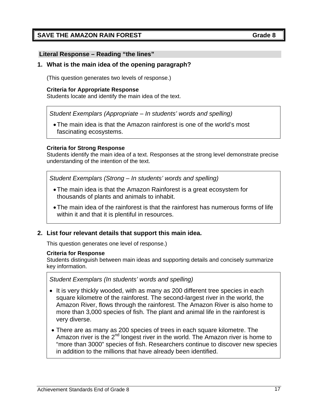#### **SAVE THE AMAZON RAIN FOREST GRAIN CONSTRUCTED ASSAULT AND STACK Grade 8**

#### **Literal Response – Reading "the lines"**

#### **1. What is the main idea of the opening paragraph?**

(This question generates two levels of response.)

#### **Criteria for Appropriate Response**

Students locate and identify the main idea of the text.

*Student Exemplars (Appropriate – In students' words and spelling)* 

• The main idea is that the Amazon rainforest is one of the world's most fascinating ecosystems.

#### **Criteria for Strong Response**

Students identify the main idea of a text. Responses at the strong level demonstrate precise understanding of the intention of the text.

*Student Exemplars (Strong – In students' words and spelling)* 

- The main idea is that the Amazon Rainforest is a great ecosystem for thousands of plants and animals to inhabit.
- The main idea of the rainforest is that the rainforest has numerous forms of life within it and that it is plentiful in resources.

#### **2. List four relevant details that support this main idea.**

This question generates one level of response.)

#### **Criteria for Response**

Students distinguish between main ideas and supporting details and concisely summarize key information.

- It is very thickly wooded, with as many as 200 different tree species in each square kilometre of the rainforest. The second-largest river in the world, the Amazon River, flows through the rainforest. The Amazon River is also home to more than 3,000 species of fish. The plant and animal life in the rainforest is very diverse.
- There are as many as 200 species of trees in each square kilometre. The Amazon river is the  $2<sup>nd</sup>$  longest river in the world. The Amazon river is home to "more than 3000" species of fish. Researchers continue to discover new species in addition to the millions that have already been identified.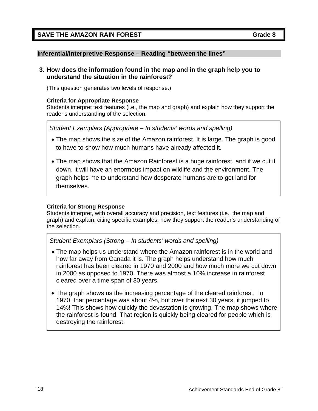#### **SAVE THE AMAZON RAIN FOREST GRAIN CONSTRUCTED ASSAULT ASSAULT CONSTRUCT CONSTRUCT**

#### **Inferential/Interpretive Response – Reading "between the lines"**

#### **3. How does the information found in the map and in the graph help you to understand the situation in the rainforest?**

(This question generates two levels of response.)

#### **Criteria for Appropriate Response**

Students interpret text features (i.e., the map and graph) and explain how they support the reader's understanding of the selection.

*Student Exemplars (Appropriate – In students' words and spelling)* 

- The map shows the size of the Amazon rainforest. It is large. The graph is good to have to show how much humans have already affected it.
- The map shows that the Amazon Rainforest is a huge rainforest, and if we cut it down, it will have an enormous impact on wildlife and the environment. The graph helps me to understand how desperate humans are to get land for themselves.

#### **Criteria for Strong Response**

Students interpret, with overall accuracy and precision, text features (i.e., the map and graph) and explain, citing specific examples, how they support the reader's understanding of the selection.

- The map helps us understand where the Amazon rainforest is in the world and how far away from Canada it is. The graph helps understand how much rainforest has been cleared in 1970 and 2000 and how much more we cut down in 2000 as opposed to 1970. There was almost a 10% increase in rainforest cleared over a time span of 30 years.
- The graph shows us the increasing percentage of the cleared rainforest. In 1970, that percentage was about 4%, but over the next 30 years, it jumped to 14%! This shows how quickly the devastation is growing. The map shows where the rainforest is found. That region is quickly being cleared for people which is destroying the rainforest.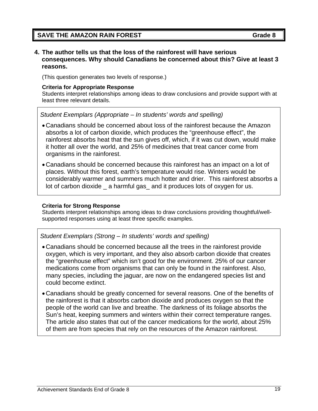## **SAVE THE AMAZON RAIN FOREST GRAIN CONSTRUCTED ASSAULT AND STATE GRAIN GRADE 8**

#### **4. The author tells us that the loss of the rainforest will have serious consequences. Why should Canadians be concerned about this? Give at least 3 reasons.**

(This question generates two levels of response.)

#### **Criteria for Appropriate Response**

Students interpret relationships among ideas to draw conclusions and provide support with at least three relevant details.

*Student Exemplars (Appropriate – In students' words and spelling)*

- Canadians should be concerned about loss of the rainforest because the Amazon absorbs a lot of carbon dioxide, which produces the "greenhouse effect", the rainforest absorbs heat that the sun gives off, which, if it was cut down, would make it hotter all over the world, and 25% of medicines that treat cancer come from organisms in the rainforest.
- Canadians should be concerned because this rainforest has an impact on a lot of places. Without this forest, earth's temperature would rise. Winters would be considerably warmer and summers much hotter and drier. This rainforest absorbs a lot of carbon dioxide \_ a harmful gas\_ and it produces lots of oxygen for us.

#### **Criteria for Strong Response**

Students interpret relationships among ideas to draw conclusions providing thoughtful/wellsupported responses using at least three specific examples.

- Canadians should be concerned because all the trees in the rainforest provide oxygen, which is very important, and they also absorb carbon dioxide that creates the "greenhouse effect" which isn't good for the environment. 25% of our cancer medications come from organisms that can only be found in the rainforest. Also, many species, including the jaguar, are now on the endangered species list and could become extinct.
- Canadians should be greatly concerned for several reasons. One of the benefits of the rainforest is that it absorbs carbon dioxide and produces oxygen so that the people of the world can live and breathe. The darkness of its foliage absorbs the Sun's heat, keeping summers and winters within their correct temperature ranges. The article also states that out of the cancer medications for the world, about 25% of them are from species that rely on the resources of the Amazon rainforest.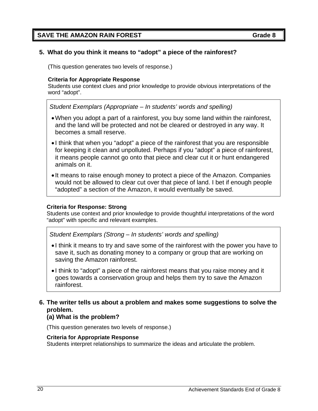#### **5. What do you think it means to "adopt" a piece of the rainforest?**

(This question generates two levels of response.)

#### **Criteria for Appropriate Response**

Students use context clues and prior knowledge to provide obvious interpretations of the word "adopt".

*Student Exemplars (Appropriate – In students' words and spelling)* 

- When you adopt a part of a rainforest, you buy some land within the rainforest, and the land will be protected and not be cleared or destroyed in any way. It becomes a small reserve.
- I think that when you "adopt" a piece of the rainforest that you are responsible for keeping it clean and unpolluted. Perhaps if you "adopt" a piece of rainforest, it means people cannot go onto that piece and clear cut it or hunt endangered animals on it.
- It means to raise enough money to protect a piece of the Amazon. Companies would not be allowed to clear cut over that piece of land. I bet if enough people "adopted" a section of the Amazon, it would eventually be saved.

#### **Criteria for Response: Strong**

Students use context and prior knowledge to provide thoughtful interpretations of the word "adopt" with specific and relevant examples.

*Student Exemplars (Strong – In students' words and spelling)* 

- I think it means to try and save some of the rainforest with the power you have to save it, such as donating money to a company or group that are working on saving the Amazon rainforest.
- I think to "adopt" a piece of the rainforest means that you raise money and it goes towards a conservation group and helps them try to save the Amazon rainforest.

#### **6. The writer tells us about a problem and makes some suggestions to solve the problem.**

#### **(a) What is the problem?**

(This question generates two levels of response.)

#### **Criteria for Appropriate Response**

Students interpret relationships to summarize the ideas and articulate the problem.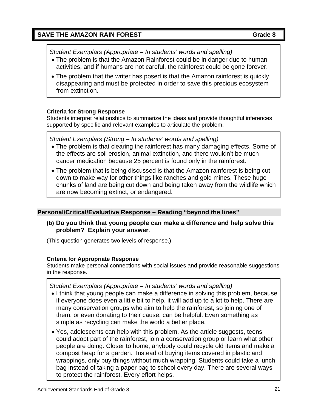### **SAVE THE AMAZON RAIN FOREST GRAIN CONSTRUCTED ASSAULT ASSAULT CONSTRUCT CONSTRUCT**

*Student Exemplars (Appropriate – In students' words and spelling)*

- The problem is that the Amazon Rainforest could be in danger due to human activities, and if humans are not careful, the rainforest could be gone forever.
- The problem that the writer has posed is that the Amazon rainforest is quickly disappearing and must be protected in order to save this precious ecosystem from extinction.

#### **Criteria for Strong Response**

Students interpret relationships to summarize the ideas and provide thoughtful inferences supported by specific and relevant examples to articulate the problem.

*Student Exemplars (Strong – In students' words and spelling)*

- The problem is that clearing the rainforest has many damaging effects. Some of the effects are soil erosion, animal extinction, and there wouldn't be much cancer medication because 25 percent is found only in the rainforest.
- The problem that is being discussed is that the Amazon rainforest is being cut down to make way for other things like ranches and gold mines. These huge chunks of land are being cut down and being taken away from the wildlife which are now becoming extinct, or endangered.

#### **Personal/Critical/Evaluative Response – Reading "beyond the lines"**

**(b) Do you think that young people can make a difference and help solve this problem? Explain your answer**.

(This question generates two levels of response.)

#### **Criteria for Appropriate Response**

Students make personal connections with social issues and provide reasonable suggestions in the response.

*Student Exemplars (Appropriate – In students' words and spelling)*

- I think that young people can make a difference in solving this problem, because if everyone does even a little bit to help, it will add up to a lot to help. There are many conservation groups who aim to help the rainforest, so joining one of them, or even donating to their cause, can be helpful. Even something as simple as recycling can make the world a better place.
- Yes, adolescents can help with this problem. As the article suggests, teens could adopt part of the rainforest, join a conservation group or learn what other people are doing. Closer to home, anybody could recycle old items and make a compost heap for a garden. Instead of buying items covered in plastic and wrappings, only buy things without much wrapping. Students could take a lunch bag instead of taking a paper bag to school every day. There are several ways to protect the rainforest. Every effort helps.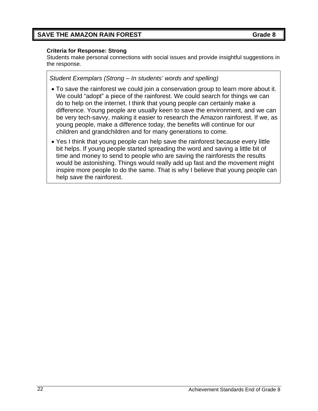#### **Criteria for Response: Strong**

Students make personal connections with social issues and provide insightful suggestions in the response.

- To save the rainforest we could join a conservation group to learn more about it. We could "adopt" a piece of the rainforest. We could search for things we can do to help on the internet. I think that young people can certainly make a difference. Young people are usually keen to save the environment, and we can be very tech-savvy, making it easier to research the Amazon rainforest. If we, as young people, make a difference today, the benefits will continue for our children and grandchildren and for many generations to come.
- Yes I think that young people can help save the rainforest because every little bit helps. If young people started spreading the word and saving a little bit of time and money to send to people who are saving the rainforests the results would be astonishing. Things would really add up fast and the movement might inspire more people to do the same. That is why I believe that young people can help save the rainforest.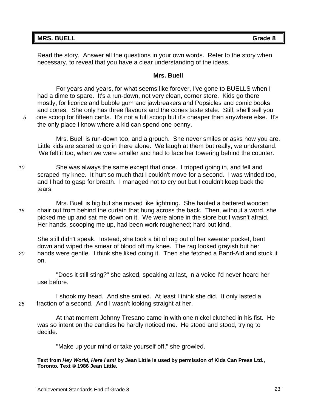#### **MRS. BUELL** Grade 8

Read the story. Answer all the questions in your own words. Refer to the story when necessary, to reveal that you have a clear understanding of the ideas.

#### **Mrs. Buell**

For years and years, for what seems like forever, I've gone to BUELLS when I had a dime to spare. It's a run-down, not very clean, corner store. Kids go there mostly, for licorice and bubble gum and jawbreakers and Popsicles and comic books and cones. She only has three flavours and the cones taste stale. Still, she'll sell you *5* one scoop for fifteen cents. It's not a full scoop but it's cheaper than anywhere else. It's the only place I know where a kid can spend one penny.

Mrs. Buell is run-down too, and a grouch. She never smiles or asks how you are. Little kids are scared to go in there alone. We laugh at them but really, we understand. We felt it too, when we were smaller and had to face her towering behind the counter.

*10* She was always the same except that once. I tripped going in, and fell and scraped my knee. It hurt so much that I couldn't move for a second. I was winded too, and I had to gasp for breath. I managed not to cry out but I couldn't keep back the tears.

Mrs. Buell is big but she moved like lightning. She hauled a battered wooden *15* chair out from behind the curtain that hung across the back. Then, without a word, she picked me up and sat me down on it. We were alone in the store but I wasn't afraid. Her hands, scooping me up, had been work-roughened; hard but kind.

She still didn't speak. Instead, she took a bit of rag out of her sweater pocket, bent down and wiped the smear of blood off my knee. The rag looked grayish but her *20* hands were gentle. I think she liked doing it. Then she fetched a Band-Aid and stuck it on.

 "Does it still sting?" she asked, speaking at last, in a voice I'd never heard her use before.

I shook my head. And she smiled. At least I think she did. It only lasted a *25* fraction of a second. And I wasn't looking straight at her.

At that moment Johnny Tresano came in with one nickel clutched in his fist. He was so intent on the candies he hardly noticed me. He stood and stood, trying to decide.

"Make up your mind or take yourself off," she growled.

**Text from** *Hey World, Here I am!* **by Jean Little is used by permission of Kids Can Press Ltd., Toronto. Text © 1986 Jean Little.**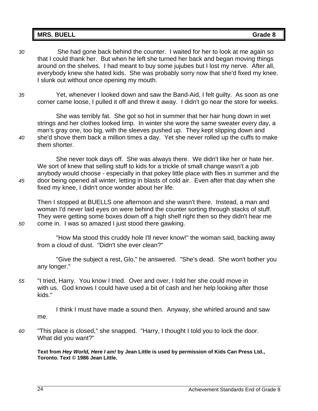#### **MRS. BUELL Grade 8**

- *30* She had gone back behind the counter. I waited for her to look at me again so that I could thank her. But when he left she turned her back and began moving things around on the shelves. I had meant to buy some jujubes but I lost my nerve. After all, everybody knew she hated kids. She was probably sorry now that she'd fixed my knee. I slunk out without once opening my mouth.
- *35* Yet, whenever I looked down and saw the Band-Aid, I felt guilty. As soon as one corner came loose, I pulled it off and threw it away. I didn't go near the store for weeks.

She was terribly fat. She got so hot in summer that her hair hung down in wet strings and her clothes looked limp. In winter she wore the same sweater every day, a man's gray one, too big, with the sleeves pushed up. They kept slipping down and *40* she'd shove them back a million times a day. Yet she never rolled up the cuffs to make them shorter.

She never took days off. She was always there. We didn't like her or hate her. We sort of knew that selling stuff to kids for a trickle of small change wasn't a job anybody would choose - especially in that pokey little place with flies in summer and the *45* door being opened all winter, letting in blasts of cold air. Even after that day when she fixed my knee, I didn't once wonder about her life.

 Then I stopped at BUELLS one afternoon and she wasn't there. Instead, a man and woman I'd never laid eyes on were behind the counter sorting through stacks of stuff. They were getting some boxes down off a high shelf right then so they didn't hear me *50* come in. I was so amazed I just stood there gawking.

"How Ma stood this cruddy hole I'll never know!" the woman said, backing away from a cloud of dust. "Didn't she ever clean?"

 "Give the subject a rest, Glo," he answered. "She's dead. She won't bother you any longer."

*55* "I tried, Harry. You know I tried. Over and over, I told her she could move in with us. God knows I could have used a bit of cash and her help looking after those kids."

 I think I must have made a sound then. Anyway, she whirled around and saw me.

*60* "This place is closed," she snapped. "Harry, I thought I told you to lock the door. What did you want?"

**Text from** *Hey World, Here I am!* **by Jean Little is used by permission of Kids Can Press Ltd., Toronto. Text © 1986 Jean Little.**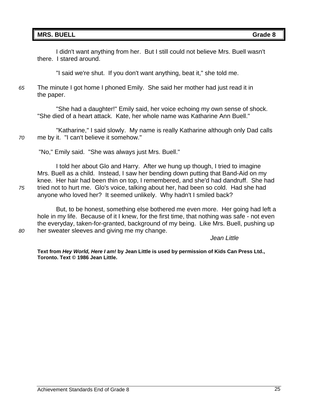#### **MRS. BUELL** Grade 8

I didn't want anything from her. But I still could not believe Mrs. Buell wasn't there. I stared around.

"I said we're shut. If you don't want anything, beat it," she told me.

*65* The minute I got home I phoned Emily. She said her mother had just read it in the paper.

"She had a daughter!" Emily said, her voice echoing my own sense of shock. "She died of a heart attack. Kate, her whole name was Katharine Ann Buell."

 "Katharine," I said slowly. My name is really Katharine although only Dad calls *70* me by it. "I can't believe it somehow."

"No," Emily said. "She was always just Mrs. Buell."

I told her about Glo and Harry. After we hung up though, I tried to imagine Mrs. Buell as a child. Instead, I saw her bending down putting that Band-Aid on my knee. Her hair had been thin on top, I remembered, and she'd had dandruff. She had *75* tried not to hurt me. Glo's voice, talking about her, had been so cold. Had she had anyone who loved her? It seemed unlikely. Why hadn't I smiled back?

But, to be honest, something else bothered me even more. Her going had left a hole in my life. Because of it I knew, for the first time, that nothing was safe - not even the everyday, taken-for-granted, background of my being. Like Mrs. Buell, pushing up *80* her sweater sleeves and giving me my change.

*Jean Little* 

**Text from** *Hey World, Here I am!* **by Jean Little is used by permission of Kids Can Press Ltd., Toronto. Text © 1986 Jean Little.**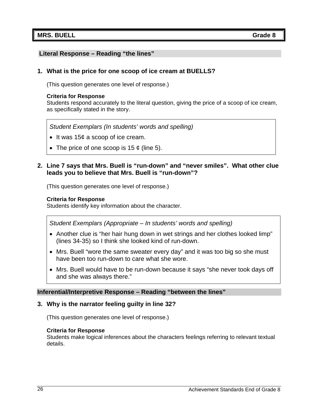#### **MRS. BUELL Grade 8 Grade 8**

#### **Literal Response – Reading "the lines"**

#### **1. What is the price for one scoop of ice cream at BUELLS?**

(This question generates one level of response.)

#### **Criteria for Response**

Students respond accurately to the literal question, giving the price of a scoop of ice cream, as specifically stated in the story.

*Student Exemplars (In students' words and spelling)* 

- It was 15¢ a scoop of ice cream.
- The price of one scoop is 15  $\phi$  (line 5).

#### **2. Line 7 says that Mrs. Buell is "run-down" and "never smiles". What other clue leads you to believe that Mrs. Buell is "run-down"?**

(This question generates one level of response.)

#### **Criteria for Response**

Students identify key information about the character.

*Student Exemplars (Appropriate – In students' words and spelling)* 

- Another clue is "her hair hung down in wet strings and her clothes looked limp" (lines 34-35) so I think she looked kind of run-down.
- Mrs. Buell "wore the same sweater every day" and it was too big so she must have been too run-down to care what she wore.
- Mrs. Buell would have to be run-down because it says "she never took days off and she was always there."

#### **Inferential/Interpretive Response – Reading "between the lines"**

#### **3. Why is the narrator feeling guilty in line 32?**

(This question generates one level of response.)

#### **Criteria for Response**

Students make logical inferences about the characters feelings referring to relevant textual details.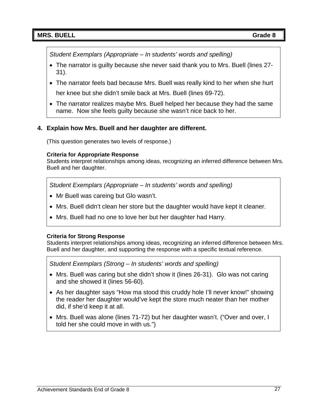#### **MRS. BUELL Grade 8 Grade 8**

*Student Exemplars (Appropriate – In students' words and spelling)* 

- The narrator is guilty because she never said thank you to Mrs. Buell (lines 27- 31).
- The narrator feels bad because Mrs. Buell was really kind to her when she hurt

her knee but she didn't smile back at Mrs. Buell (lines 69-72).

• The narrator realizes maybe Mrs. Buell helped her because they had the same name. Now she feels guilty because she wasn't nice back to her.

#### **4. Explain how Mrs. Buell and her daughter are different.**

(This question generates two levels of response.)

#### **Criteria for Appropriate Response**

Students interpret relationships among ideas, recognizing an inferred difference between Mrs. Buell and her daughter.

*Student Exemplars (Appropriate – In students' words and spelling)* 

- Mr Buell was careing but Glo wasn't.
- Mrs. Buell didn't clean her store but the daughter would have kept it cleaner.
- Mrs. Buell had no one to love her but her daughter had Harry.

#### **Criteria for Strong Response**

Students interpret relationships among ideas, recognizing an inferred difference between Mrs. Buell and her daughter, and supporting the response with a specific textual reference.

- Mrs. Buell was caring but she didn't show it (lines 26-31). Glo was not caring and she showed it (lines 56-60).
- As her daughter says "How ma stood this cruddy hole I'll never know!" showing the reader her daughter would've kept the store much neater than her mother did, if she'd keep it at all.
- Mrs. Buell was alone (lines 71-72) but her daughter wasn't. ("Over and over, I told her she could move in with us.")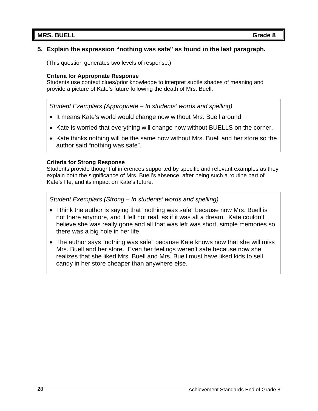#### **MRS. BUELL Grade 8 Grade 8**

#### **5. Explain the expression "nothing was safe" as found in the last paragraph.**

(This question generates two levels of response.)

#### **Criteria for Appropriate Response**

Students use context clues/prior knowledge to interpret subtle shades of meaning and provide a picture of Kate's future following the death of Mrs. Buell.

*Student Exemplars (Appropriate – In students' words and spelling)* 

- It means Kate's world would change now without Mrs. Buell around.
- Kate is worried that everything will change now without BUELLS on the corner.
- Kate thinks nothing will be the same now without Mrs. Buell and her store so the author said "nothing was safe".

#### **Criteria for Strong Response**

Students provide thoughtful inferences supported by specific and relevant examples as they explain both the significance of Mrs. Buell's absence, after being such a routine part of Kate's life, and its impact on Kate's future.

- I think the author is saying that "nothing was safe" because now Mrs. Buell is not there anymore, and it felt not real, as if it was all a dream. Kate couldn't believe she was really gone and all that was left was short, simple memories so there was a big hole in her life.
- The author says "nothing was safe" because Kate knows now that she will miss Mrs. Buell and her store. Even her feelings weren't safe because now she realizes that she liked Mrs. Buell and Mrs. Buell must have liked kids to sell candy in her store cheaper than anywhere else.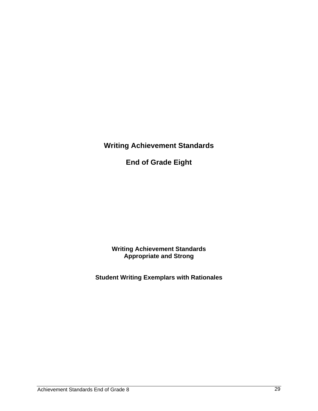**Writing Achievement Standards** 

**End of Grade Eight** 

**Writing Achievement Standards Appropriate and Strong** 

**Student Writing Exemplars with Rationales**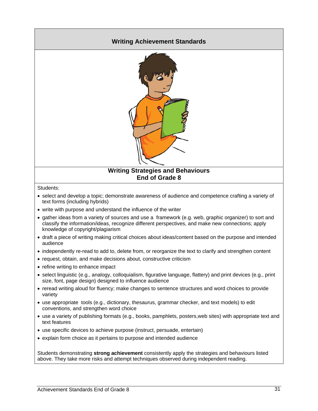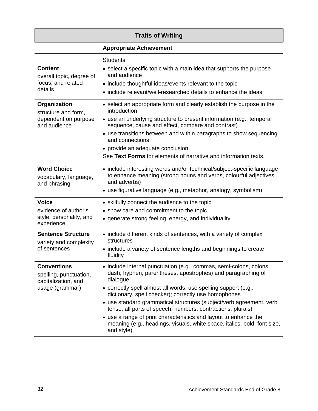# **Traits of Writing**

|                                                                                        | <b>Appropriate Achievement</b>                                                                                                                                                                                                                                                                                                                                                                                                                                                                                                                                               |
|----------------------------------------------------------------------------------------|------------------------------------------------------------------------------------------------------------------------------------------------------------------------------------------------------------------------------------------------------------------------------------------------------------------------------------------------------------------------------------------------------------------------------------------------------------------------------------------------------------------------------------------------------------------------------|
| <b>Content</b><br>overall topic, degree of<br>focus, and related<br>details            | <b>Students</b><br>• select a specific topic with a main idea that supports the purpose<br>and audience<br>• include thoughtful ideas/events relevant to the topic<br>• include relevant/well-researched details to enhance the ideas                                                                                                                                                                                                                                                                                                                                        |
| Organization<br>structure and form,<br>dependent on purpose<br>and audience            | • select an appropriate form and clearly establish the purpose in the<br>introduction<br>• use an underlying structure to present information (e.g., temporal<br>sequence, cause and effect, compare and contrast)<br>• use transitions between and within paragraphs to show sequencing<br>and connections<br>• provide an adequate conclusion<br>See Text Forms for elements of narrative and information texts.                                                                                                                                                           |
| <b>Word Choice</b><br>vocabulary, language,<br>and phrasing                            | • include interesting words and/or technical/subject-specific language<br>to enhance meaning (strong nouns and verbs, colourful adjectives<br>and adverbs)<br>• use figurative language (e.g., metaphor, analogy, symbolism)                                                                                                                                                                                                                                                                                                                                                 |
| <b>Voice</b><br>evidence of author's<br>style, personality, and<br>experience          | • skilfully connect the audience to the topic<br>• show care and commitment to the topic<br>• generate strong feeling, energy, and individuality                                                                                                                                                                                                                                                                                                                                                                                                                             |
| <b>Sentence Structure</b><br>variety and complexity<br>of sentences                    | • include different kinds of sentences, with a variety of complex<br>structures<br>• include a variety of sentence lengths and beginnings to create<br>fluidity                                                                                                                                                                                                                                                                                                                                                                                                              |
| <b>Conventions</b><br>spelling, punctuation,<br>capitalization, and<br>usage (grammar) | • include internal punctuation (e.g., commas, semi-colons, colons,<br>dash, hyphen, parentheses, apostrophes) and paragraphing of<br>dialogue<br>• correctly spell almost all words; use spelling support (e.g.,<br>dictionary, spell checker); correctly use homophones<br>• use standard grammatical structures (subject/verb agreement, verb<br>tense, all parts of speech, numbers, contractions, plurals)<br>• use a range of print characteristics and layout to enhance the<br>meaning (e.g., headings, visuals, white space, italics, bold, font size,<br>and style) |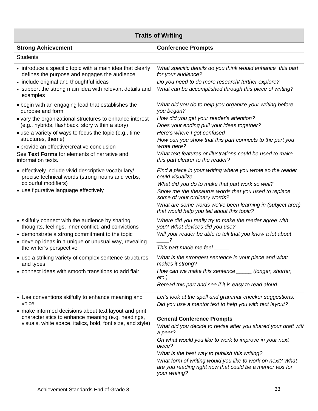# **Traits of Writing**

| <b>Strong Achievement</b>                                                                                                                                                                                                                                                                                                                                                                  | <b>Conference Prompts</b>                                                                                                                                                                                                                                                                                                                                                                                                                                                                             |
|--------------------------------------------------------------------------------------------------------------------------------------------------------------------------------------------------------------------------------------------------------------------------------------------------------------------------------------------------------------------------------------------|-------------------------------------------------------------------------------------------------------------------------------------------------------------------------------------------------------------------------------------------------------------------------------------------------------------------------------------------------------------------------------------------------------------------------------------------------------------------------------------------------------|
| <b>Students</b>                                                                                                                                                                                                                                                                                                                                                                            |                                                                                                                                                                                                                                                                                                                                                                                                                                                                                                       |
| • introduce a specific topic with a main idea that clearly<br>defines the purpose and engages the audience<br>• include original and thoughtful ideas<br>• support the strong main idea with relevant details and<br>examples                                                                                                                                                              | What specific details do you think would enhance this part<br>for your audience?<br>Do you need to do more research/further explore?<br>What can be accomplished through this piece of writing?                                                                                                                                                                                                                                                                                                       |
| • begin with an engaging lead that establishes the<br>purpose and form<br>• vary the organizational structures to enhance interest<br>(e.g., hybrids, flashback, story within a story)<br>• use a variety of ways to focus the topic (e.g., time<br>structures, theme)<br>• provide an effective/creative conclusion<br>See Text Forms for elements of narrative and<br>information texts. | What did you do to help you organize your writing before<br>you began?<br>How did you get your reader's attention?<br>Does your ending pull your ideas together?<br>Here's where I got confused<br>How can you show that this part connects to the part you<br>wrote here?<br>What text features or illustrations could be used to make<br>this part clearer to the reader?                                                                                                                           |
| • effectively include vivid descriptive vocabulary/<br>precise technical words (strong nouns and verbs,<br>colourful modifiers)<br>• use figurative language effectively                                                                                                                                                                                                                   | Find a place in your writing where you wrote so the reader<br>could visualize.<br>What did you do to make that part work so well?<br>Show me the thesaurus words that you used to replace<br>some of your ordinary words?<br>What are some words we've been learning in (subject area)<br>that would help you tell about this topic?                                                                                                                                                                  |
| • skilfully connect with the audience by sharing<br>thoughts, feelings, inner conflict, and convictions<br>• demonstrate a strong commitment to the topic<br>· develop ideas in a unique or unusual way, revealing<br>the writer's perspective                                                                                                                                             | Where did you really try to make the reader agree with<br>you? What devices did you use?<br>Will your reader be able to tell that you know a lot about<br>This part made me feel _____.                                                                                                                                                                                                                                                                                                               |
| • use a striking variety of complex sentence structures<br>and types<br>• connect ideas with smooth transitions to add flair                                                                                                                                                                                                                                                               | What is the strongest sentence in your piece and what<br>makes it strong?<br>How can we make this sentence<br>(longer, shorter,<br>$etc.$ )<br>Reread this part and see if it is easy to read aloud.                                                                                                                                                                                                                                                                                                  |
| • Use conventions skilfully to enhance meaning and<br>voice<br>• make informed decisions about text layout and print<br>characteristics to enhance meaning (e.g. headings,<br>visuals, white space, italics, bold, font size, and style)                                                                                                                                                   | Let's look at the spell and grammar checker suggestions.<br>Did you use a mentor text to help you with text layout?<br><b>General Conference Prompts</b><br>What did you decide to revise after you shared your draft with<br>a peer?<br>On what would you like to work to improve in your next<br>piece?<br>What is the best way to publish this writing?<br>What form of writing would you like to work on next? What<br>are you reading right now that could be a mentor text for<br>your writing? |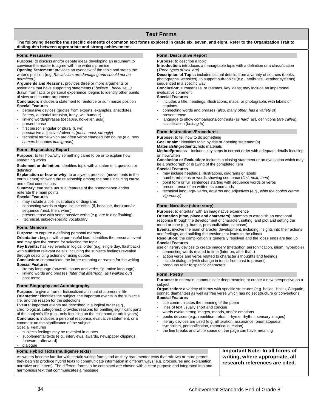#### **Text Forms**

#### **The following describe the specific elements of common text forms explored in grade six, seven, and eight. Refer to the Organization Trait to distinguish between appropriate and strong achievement. Form: Persuasive Purpose:** to discuss and/or debate ideas developing an argument to convince the reader to agree with the writer's premise **Opening Statement:** provides an overview of the topic and states the writer's position (e.g. *Racial slurs are damaging and should not be permitted.*) **Arguments and Reasons:** provides three or more arguments or assertions that have supporting statements (*I believe…because…)*  drawn from facts or personal experience; begins to identify other points of view and counter-arguments **Conclusion:** includes a statement to reinforce or summarize position **Special Features**  persuasive devices (quotes from experts, examples, anecdotes, flattery, authorial intrusion, irony, wit, humour) - linking words/phrases (*because, however, also*) present tense first person singular or plural (*I, we*) - persuasive adjectives/adverbs (*most, must, strongly*) - technical terms which are often verbs changed into nouns (e.g. *new comers* becomes *immigrants*) **Form : Explanatory Report Purpose:** to tell how/why something came to be or to explain how something works **Statement or definition:** identifies topic with a statement, question or definition **Explanation or how or why:** to analyze a process (movements in the earth's crust) showing the relationship among the parts including cause and effect connections **Summary:** can state unusual features of the phenomenon and/or reiterate the main points **Special Features**  may include a title, illustrations or diagrams connecting words to signal cause-effect (if, because, then) and/or sequence *(*next, then, when) present tense with some passive verbs (e.g. are folding/faulting) technical, subject-specific vocabulary **Form: Memoire Purpose:** to capture a defining personal memory **Orientation:** begins with a purposeful lead, identifies the personal event and may give the reason for selecting the topic **Key Events:** has key events in logical order (e.g. single day, flashback) with sufficient relevant details including the subjects feelings revealed through describing actions or using quotes **Conclusion:** communicate the larger meaning or reason for the writing **Special Features**  literary language (powerful nouns and verbs, figurative language) - linking words and phrases (*later that afternoon, as I walked out*) past tense **Form: Biography and Autobiography Purpose:** to give a true or fictionalized account of a person's life **Orientation:** identifies the subject, the important events in the subject's life, and the reason for the selections **Events:** important events are described in a logical order (e.g., chronological, categories); provides reasons for omitting significant parts of the subject's life (e.g., only focusing on the childhood or adult years) **Conclusion:** includes a personal response, evaluative statement, or a comment on the significance of the subject Special Features subjects feelings may be revealed in quotes supplemental texts (e.g., interviews, awards, newspaper clippings, foreword, afterword) dialogue **Form: Descriptive Report Purpose:** to describe a topic **Introduction:** introduces a manageable topic with a definition or a classification (*Three types of soil are)* **Description of Topic:** includes factual details, from a variety of sources (books, photographs, websites), to support sub-topics (e.g., attributes, weather systems) sequenced in a specific way **Conclusion:** summarizes, or restates, key ideas; may include an impersonal evaluative comment **Special Features**  includes a title, headings, illustrations, maps, or photographs with labels or captions - connecting words and phrases (*also, many other, has a variety of*) present tense - language to show comparisons/contrasts (*as hard as),* definitions (*are called*), classification (*belong to*) **Form: Instructions/Procedures Purpose:** to tell how to do something Goal or aim: identifies topic by title or opening statement(s) **Materials/ingredients:** lists materials **Method/process –** includes key steps in correct order with adequate details focusing on how/when **Conclusion or Evaluation:** includes a closing statement or an evaluation which may be a photograph or drawing of the completed item **Special Features**  may include headings, illustrations, diagrams or labels - numbered-steps or words showing sequence (*first, next, then*) point form or full sentences starting with sequence words or verbs present tense often written as commands - technical language- verbs, adverbs and adjectives (e.g., *whip the cooled creme vigorously*) **Form: Narrative (short story) Purpose:** to entertain with an imaginative experience **Orientation (time, place and characters):** attempts to establish an emotional response through the development of character, setting, and plot and setting the mood or tone (e.g. humor, personalization, sarcasm) **Events:** involve the main character development, including insights into their actions and feelings, and building the tension that leads to the climax **Resolution:** the complication is generally resolved and the loose ends are tied up **Special Features**  use of literary devices to create imagery (metaphor, personification, idiom, hyperbole) connecting words related to time (later on, after that, ) action verbs and verbs related to character's thoughts and feelings include dialogue (with change in tense from past to present) pronouns refer to specific characters **Form: Poetry Purpose:** to entertain, communicate deep meaning or create a new perspective on a subject **Organization:** a variety of forms with specific structures (e.g. ballad, Haiku, Cinquain, sonnet, diamantes) as well as free verse which has no set structure or conventions **Special Features**  title communicates the meaning of the poem lines of text usually short and concise words evoke strong images, moods, and/or emotions poetic devices (e.g., repetition, refrain, rhyme, rhythm, sensory images) literary devices are used (e.g. alliteration, assonance, onomatopoeia, symbolism, personification, rhetorical question) the line breaks and white space on the page can have meaning **Form: Hybrid Texts (multigenre texts)**  As writers become familiar with certain writing forms and as they read mentor texts that mix two or more genres, they begin to produce hybrid texts to communicate information in different ways (e.g. procedures and explanation, narrative and letters). The different forms to be combined are chosen with a clear purpose and integrated into one harmonious text that communicates a message. **Important Note: In all forms of writing, where appropriate, all research references are cited.**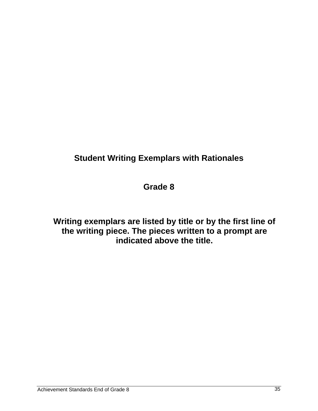# **Student Writing Exemplars with Rationales**

# **Grade 8**

**Writing exemplars are listed by title or by the first line of the writing piece. The pieces written to a prompt are indicated above the title.**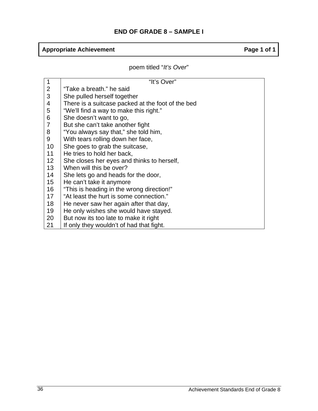# **END OF GRADE 8 – SAMPLE I**

# **Appropriate Achievement Page 1 of 1**

poem titled "*It's Over*"

| 1              | "It's Over"                                       |
|----------------|---------------------------------------------------|
|                |                                                   |
| $\overline{2}$ | "Take a breath." he said                          |
| 3              | She pulled herself together                       |
| $\overline{4}$ | There is a suitcase packed at the foot of the bed |
| 5              | "We'll find a way to make this right."            |
| 6              | She doesn't want to go,                           |
| 7              | But she can't take another fight                  |
| 8              | "You always say that," she told him,              |
| 9              | With tears rolling down her face,                 |
| 10             | She goes to grab the suitcase,                    |
| 11             | He tries to hold her back,                        |
| 12             | She closes her eyes and thinks to herself,        |
| 13             | When will this be over?                           |
| 14             | She lets go and heads for the door,               |
| 15             | He can't take it anymore                          |
| 16             | "This is heading in the wrong direction!"         |
| 17             | "At least the hurt is some connection."           |
| 18             | He never saw her again after that day,            |
| 19             | He only wishes she would have stayed.             |
| 20             | But now its too late to make it right             |
| 21             | If only they wouldn't of had that fight.          |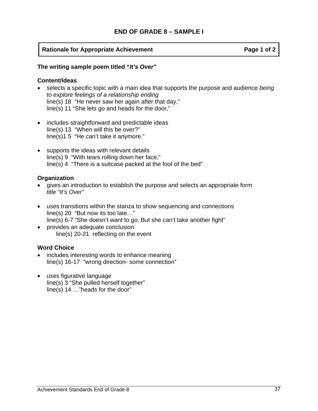### **Rationale for Appropriate Achievement Page 1 of 2 Page 1 of 2**

#### **The writing sample poem titled "***It's Over***"**

#### **Content/Ideas**

- selects a specific topic with a main idea that supports the purpose and audience *being to explore feelings of a relationship ending* line(s) 18 "He never saw her again after that day," line(s) 11 "She lets go and heads for the door,"
- includes straightforward and predictable ideas line(s) 13 "When will this be over?" line(s)1 5 "He can't take it anymore."
- supports the ideas with relevant details line(s) 9 "With tears rolling down her face," line(s) 4 "There is a suitcase packed at the foot of the bed"

### **Organization**

- gives an introduction to establish the purpose and selects an appropriate form *title "It's Over"*
- uses transitions within the stanza to show sequencing and connections line(s) 20 "But now its too late…" line(s) 6-7 "She doesn't want to go, But she can't take another fight"
- provides an adequate conclusion line(s) 20-21 reflecting on the event

### **Word Choice**

- includes interesting words to enhance meaning line(s) 16-17 "wrong direction- some connection"
- uses figurative language line(s) 3 "She pulled herself together" line(s) 14 …"heads for the door"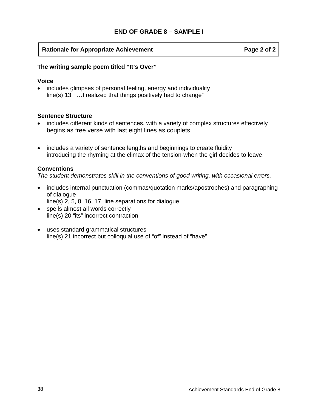# **Rationale for Appropriate Achievement Page 2 of 2 Page 2 of 2**

### **The writing sample poem titled "It's Over"**

### **Voice**

includes glimpses of personal feeling, energy and individuality line(s) 13 "…I realized that things positively had to change"

### **Sentence Structure**

- includes different kinds of sentences, with a variety of complex structures effectively begins as free verse with last eight lines as couplets
- includes a variety of sentence lengths and beginnings to create fluidity introducing the rhyming at the climax of the tension-when the girl decides to leave.

# **Conventions**

*The student demonstrates skill in the conventions of good writing, with occasional errors.* 

- includes internal punctuation (commas/quotation marks/apostrophes) and paragraphing of dialogue line(s) 2, 5, 8, 16, 17 line separations for dialogue
- spells almost all words correctly line(s) 20 "its" incorrect contraction
- uses standard grammatical structures line(s) 21 incorrect but colloquial use of "of" instead of "have"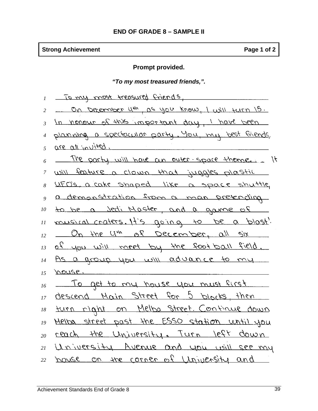# **Strong Achievement Contract Contract Contract Contract Contract Contract Contract Contract Page 1 of 2**

# **Prompt provided.**

# *"To my most treasured friends,".*

| To my most treasured friends,                       |
|-----------------------------------------------------|
| On December 4th, as you know, I will turn 15.       |
| In nonour of this important day, I have been        |
| planning a spectacular party. You, my best friends, |
| are all invited.                                    |
| <u>The party will have an outer-space theme.</u> It |
| will feature a clown that juggles plastic           |
| UFO's, a cake shaped like a space shuttle,          |
| a demonstration from a man pretending               |
| to be a Jedi Master, and a game of                  |
| musical craters. It's going to be a blast!          |
| On the 4th of December, all six                     |
| of you will meet by the foot ball field.            |
| As a group you will advance to my                   |
| nouse.                                              |
| To get to my house you must first                   |
| descend Main Street for 5 blocks, then              |
| turn right on Melba Street. Continue down           |
| Melba street past the ESSO station whill you        |
| reach the University. Turn Jeft down                |
| University Avenue and you will see my               |
| 22 house on the corner of University and            |
|                                                     |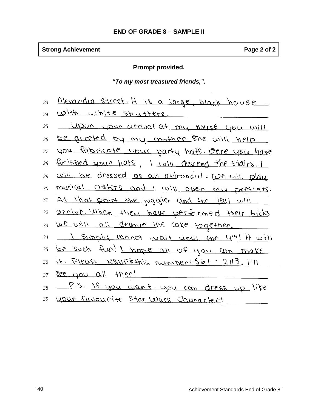# **Strong Achievement Page 2 of 2**

# **Prompt provided.**

*"To my most treasured friends,".* 

| 23 | Alexandra street. It is a large, black house         |
|----|------------------------------------------------------|
| 24 | <u>With white shutters.</u>                          |
| 25 | Upon your arrival at my house you will               |
| 26 | be greeted by my mother. She will help               |
| 27 | you fabricate your party hats. Once you have         |
| 28 | finished your hats, I will descend the stairs. I     |
| 29 | will be dressed as an astronaut. We will play        |
| 30 | <u>musical craters and I will open my presents</u> . |
| 31 | At that point the juggler and the jedi will          |
| 32 | arrive. When they have performed their tricks        |
| 33 | <u>We will all devour the care together.</u>         |
| 34 | 1 Simply cannot wait until the 4th! It will          |
| 35 | be such fun't hope all of you can make               |
| 36 | 11. PICOSE RSUPOMIS Dumber: 561 - 2113. 111          |
| 37 | <u>see you all then!</u>                             |
| 38 | P.S. If you want you can dress up like               |
| 39 | your favourite Star Wars Character!                  |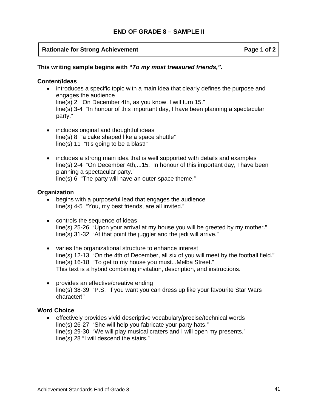### **Rationale for Strong Achievement Community Community Page 1 of 2 and 2 and 2 and 2 and 2 and 2 and 2 and 2 and 2 and 2 and 2 and 2 and 2 and 2 and 2 and 2 and 2 and 2 and 2 and 2 and 2 and 2 and 2 and 2 and 2 and 2 and 2**

#### **This writing sample begins with** *"To my most treasured friends,".*

#### **Content/Ideas**

- introduces a specific topic with a main idea that clearly defines the purpose and engages the audience line(s) 2 "On December 4th, as you know, I will turn 15." line(s) 3-4 "In honour of this important day, I have been planning a spectacular party."
- includes original and thoughtful ideas line(s) 8 "a cake shaped like a space shuttle" line(s) 11 "It's going to be a blast!"
- includes a strong main idea that is well supported with details and examples line(s) 2-4 "On December 4th,...15. In honour of this important day, I have been planning a spectacular party." line(s) 6 "The party will have an outer-space theme."

#### **Organization**

- begins with a purposeful lead that engages the audience line(s) 4-5 "You, my best friends, are all invited."
- controls the sequence of ideas line(s) 25-26 "Upon your arrival at my house you will be greeted by my mother." line(s) 31-32 "At that point the juggler and the jedi will arrive."
- varies the organizational structure to enhance interest line(s) 12-13 "On the 4th of December, all six of you will meet by the football field." line(s) 16-18 "To get to my house you must...Melba Street." This text is a hybrid combining invitation, description, and instructions.
- provides an effective/creative ending line(s) 38-39 "P.S. If you want you can dress up like your favourite Star Wars character!"

#### **Word Choice**

• effectively provides vivid descriptive vocabulary/precise/technical words line(s) 26-27 "She will help you fabricate your party hats." line(s) 29-30 "We will play musical craters and I will open my presents." line(s) 28 "I will descend the stairs."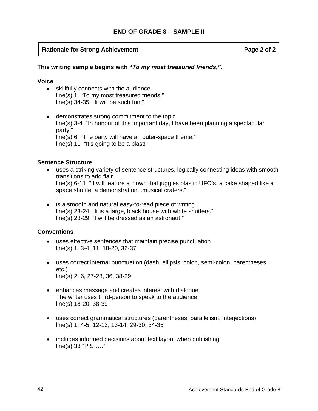# **Rationale for Strong Achievement Community Community Page 2 of 2 and 2 and 2 and 2 and 2 and 2 and 2 and 2 and 2 and 2 and 2 and 2 and 2 and 2 and 2 and 2 and 2 and 2 and 2 and 2 and 2 and 2 and 2 and 2 and 2 and 2 and 2**

### **This writing sample begins with** *"To my most treasured friends,".*

### **Voice**

- skillfully connects with the audience line(s) 1 "To my most treasured friends," line(s) 34-35 "It will be such fun!"
- demonstrates strong commitment to the topic line(s) 3-4 "In honour of this important day, I have been planning a spectacular party." line(s) 6 "The party will have an outer-space theme." line(s) 11 "It's going to be a blast!"

### **Sentence Structure**

- uses a striking variety of sentence structures, logically connecting ideas with smooth transitions to add flair line(s) 6-11 "It will feature a clown that juggles plastic UFO's, a cake shaped like a space shuttle, a demonstration...musical craters."
- is a smooth and natural easy-to-read piece of writing line(s) 23-24 "It is a large, black house with white shutters." line(s) 28-29 "I will be dressed as an astronaut."

### **Conventions**

- uses effective sentences that maintain precise punctuation line(s) 1, 3-4, 11, 18-20, 36-37
- uses correct internal punctuation (dash, ellipsis, colon, semi-colon, parentheses, etc.) line(s) 2, 6, 27-28, 36, 38-39
- enhances message and creates interest with dialogue The writer uses third-person to speak to the audience. line(s) 18-20, 38-39
- uses correct grammatical structures (parentheses, parallelism, interjections) line(s) 1, 4-5, 12-13, 13-14, 29-30, 34-35
- includes informed decisions about text layout when publishing line(s) 38 "P.S….."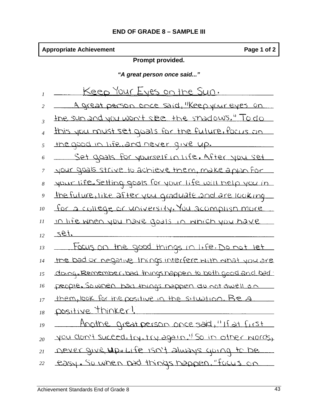# **Appropriate Achievement Page 1 of 2 Page 1 of 2**

# **Prompt provided.**

*"A great person once said..."* 

|    | <u>Keep Your Eyes on the Sun.</u>                       |
|----|---------------------------------------------------------|
| 2  | <u>A great person once said, "Keep your eyes on</u>     |
| 3  | the sun and you won't see the shadows." To do           |
|    | this you must set goals for the future, focus on        |
| 5  | the good in life, and never give up.                    |
| 6  | Set goals for yourself in life. After you set           |
| 7  | your goals strive to achieve them, make a plan for      |
| 8  | your life. Setting goals for your life will nelp you in |
| 9  | the future, like after you graduate and are looking     |
| 10 | for a college or university. You acomplish more         |
| 11 | <u>In life when you have goals in which you have</u>    |
| 12 | <u>set.</u>                                             |
| 13 | Focus on the good things in life. Do not let            |
| 14 | the bad or negative things interfere with what you are  |
| 15 | doing. Remember, bad things happen to both good and bad |
| 16 | people. So when bad things happen du not quell on       |
| 17 | them, look for the positive in the situation. Be a      |
| 18 | positive thinker!                                       |
| 19 | Anothe great person once said, "If at first             |
|    |                                                         |
| 20 | you don't succeed, try, try again, "So in other words,  |
| 21 | never give up Life isn't always young to be             |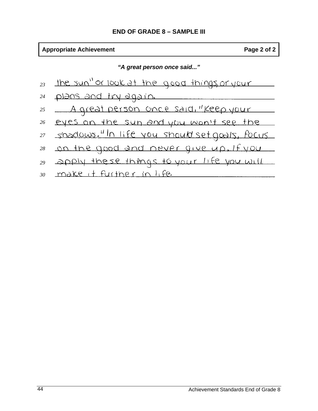# **END OF GRADE 8 – SAMPLE III**

# **Appropriate Achievement Page 2 of 2 Page 2 of 2**

*"A great person once said..."* 

- the sun" or look at the good things, or your *23*
- plans and try again. *24*
- A great person once said, "Keep your *25*
- eyes on the sun and you won't see the *26*
- shadows." In life you should set goals, focus *27*
- on the good and never give up, If you *28*
- apply these things to your life you will *29*
- 30 <u>make it further in life</u>.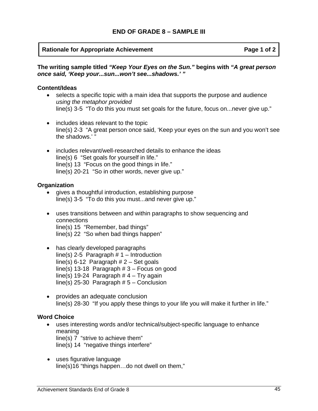### **Rationale for Appropriate Achievement Page 1 of 2 Page 1 of 2**

**The writing sample titled** *"Keep Your Eyes on the Sun."* **begins with** *"A great person once said, 'Keep your...sun...won't see...shadows.' "* 

### **Content/Ideas**

- selects a specific topic with a main idea that supports the purpose and audience *using the metaphor provided* line(s) 3-5 "To do this you must set goals for the future, focus on...never give up."
- includes ideas relevant to the topic line(s) 2-3 "A great person once said, 'Keep your eyes on the sun and you won't see the shadows.''
- includes relevant/well-researched details to enhance the ideas line(s) 6 "Set goals for yourself in life." line(s) 13 "Focus on the good things in life." line(s) 20-21 "So in other words, never give up."

### **Organization**

- gives a thoughtful introduction, establishing purpose line(s) 3-5 "To do this you must...and never give up."
- uses transitions between and within paragraphs to show sequencing and connections line(s) 15 "Remember, bad things" line(s) 22 "So when bad things happen"
- has clearly developed paragraphs line(s) 2-5 Paragraph  $# 1$  – Introduction line(s) 6-12 Paragraph  $# 2 - Set$  goals line(s) 13-18 Paragraph  $# 3$  – Focus on good line(s) 19-24 Paragraph  $# 4$  – Try again line(s) 25-30 Paragraph  $# 5 -$  Conclusion
- provides an adequate conclusion line(s) 28-30 "If you apply these things to your life you will make it further in life."

### **Word Choice**

- uses interesting words and/or technical/subject-specific language to enhance meaning line(s) 7 "strive to achieve them" line(s) 14 "negative things interfere"
- uses figurative language line(s)16 "things happen…do not dwell on them,"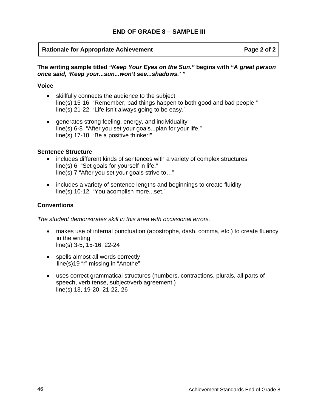# **Rationale for Appropriate Achievement Page 2 of 2 Page 2 of 2**

**The writing sample titled** *"Keep Your Eyes on the Sun."* **begins with** *"A great person once said, 'Keep your...sun...won't see...shadows.' "* 

### **Voice**

- skillfully connects the audience to the subject line(s) 15-16 "Remember, bad things happen to both good and bad people." line(s) 21-22 "Life isn't always going to be easy."
- generates strong feeling, energy, and individuality line(s) 6-8 "After you set your goals...plan for your life." line(s) 17-18 "Be a positive thinker!"

### **Sentence Structure**

- includes different kinds of sentences with a variety of complex structures line(s) 6 "Set goals for yourself in life." line(s) 7 "After you set your goals strive to…"
- includes a variety of sentence lengths and beginnings to create fluidity line(s) 10-12 "You acomplish more...set."

# **Conventions**

*The student demonstrates skill in this area with occasional errors.* 

- makes use of internal punctuation (apostrophe, dash, comma, etc.) to create fluency in the writing line(s) 3-5, 15-16, 22-24
- spells almost all words correctly line(s)19 "r" missing in "Anothe"
- uses correct grammatical structures (numbers, contractions, plurals, all parts of speech, verb tense, subject/verb agreement,) line(s) 13, 19-20, 21-22, 26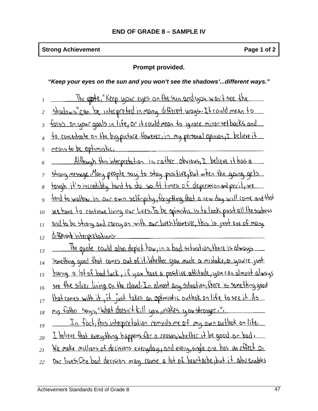# **Strong Achievement Page 1 of 2**

# **Prompt provided.**

*"Keep your eyes on the sun and you won't see the shadows'...different ways."* 

|                | The appte," Keep your eyes on the sun and you won't see the                             |
|----------------|-----------------------------------------------------------------------------------------|
|                | shadows"can be interpreted in many different ways. It could mean to                     |
|                | 3 focus on your goals in life, or it could mean to ignore minor set backs and           |
|                | to concertante on the big picture. However in my personal opinion, I believe it         |
| $\mathfrak{H}$ | <u>means to be optimistic.</u>                                                          |
|                | Although this interpretation is cather obvious, I believe it has a                      |
| 7              | strong message. Many people say to stay positive, but when the going gets               |
| 8              | tough it's incredibly hard to do so. At times of depression and peril, we               |
|                | tend to wallow in our own self-pitry, forgetting that a new day will come and that      |
| 10             | we have to continue living our lives. To be opinistic is to look past all the sadorss   |
| 11             | and to be strang and carry an with our lives, However, this is just one of many         |
| 12             | different interpretations.                                                              |
| 13             | The quote could also depict how in a bod situation, there is always                     |
| l <sub>4</sub> | Something good that comes out of it. Whether you made a mistake, or you're just         |
| 15             | <u>having a lot of bod luck, if you have a positive attitude, you can almost always</u> |
| 16             | see the silver lining on the cloud. In almost any situation, there is something good    |
| 17             | that comes with it, it just takes an optimistic outlook on life to see it. As           |
| 18             | <u>my father says, "What doesn't kill you, makes you stronger.".</u>                    |
| 19             | In fact, this interpretation reminds me of my own outlook on life.                      |
| 20             | I believe that everything happens for a reason whether it be good or bad.               |
| 21             | We make millions of decisions everyday, and every, single one has an effect on          |
| 22             | our lives. One bad decision may cause a lot of heartache, but it also enables           |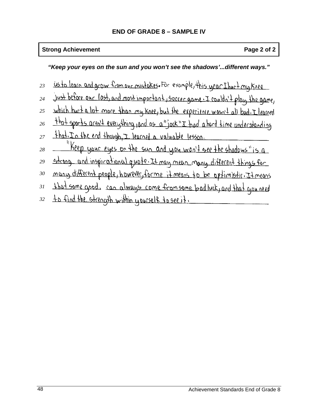# **Strong Achievement Contract Contract Contract Contract Contract Contract Contract Page 2 of 2**

*"Keep your eyes on the sun and you won't see the shadows'...different ways."* 

| 2 <sub>3</sub>   | us to learn and grow from our mistakes. For example, this year I hurt my Knee    |
|------------------|----------------------------------------------------------------------------------|
| $\overline{24}$  | Just before our last, and most important, soccer game. I couldn't play the game, |
| 25               | which hurt a lot more than my knee, but the experience wasn't all bad. I learned |
| $26\overline{)}$ | that sports aren't everything jand as a "jock" I had a hard time understanding   |
| 27               | that. In the end though, I learned a valuable lesson.                            |
| 28               | Keep your eyes on the sun and you won't see the shadows " is a                   |
| 29               | strong and inspirational quote. It may mean many different things for            |
| 30               | many different people, however, forme it means to be optimistic. It means        |
| 31               | that some good, can always come from some bad luck, and that govered             |
|                  | 32 to find the strength within yourself to see it.                               |
|                  |                                                                                  |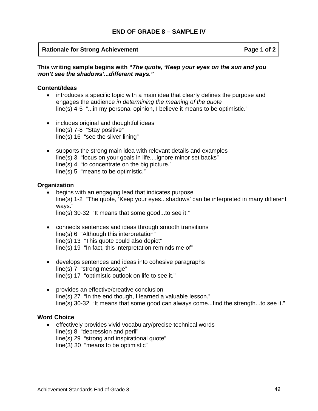### **Rationale for Strong Achievement Community Community Page 1 of 2 and 2 and 2 and 2 and 2 and 2 and 2 and 2 and 2 and 2 and 2 and 2 and 2 and 2 and 2 and 2 and 2 and 2 and 2 and 2 and 2 and 2 and 2 and 2 and 2 and 2 and 2**

#### **This writing sample begins with** *"The quote, 'Keep your eyes on the sun and you won't see the shadows'...different ways."*

### **Content/Ideas**

- introduces a specific topic with a main idea that clearly defines the purpose and engages the audience *in determining the meaning of the quote* line(s) 4-5 "...in my personal opinion, I believe it means to be optimistic."
- includes original and thoughtful ideas line(s) 7-8 "Stay positive" line(s) 16 "see the silver lining"
- supports the strong main idea with relevant details and examples line(s) 3 "focus on your goals in life,...ignore minor set backs" line(s) 4 "to concentrate on the big picture." line(s) 5 "means to be optimistic."

### **Organization**

- begins with an engaging lead that indicates purpose line(s) 1-2 "The quote, 'Keep your eyes...shadows' can be interpreted in many different ways." line(s) 30-32 "It means that some good...to see it."
- connects sentences and ideas through smooth transitions line(s) 6 "Although this interpretation" line(s) 13 "This quote could also depict" line(s) 19 "In fact, this interpretation reminds me of"
- develops sentences and ideas into cohesive paragraphs line(s) 7 "strong message" line(s) 17 "optimistic outlook on life to see it."
- provides an effective/creative conclusion line(s) 27 "In the end though, I learned a valuable lesson." line(s) 30-32 "It means that some good can always come...find the strength...to see it."

### **Word Choice**

• effectively provides vivid vocabulary/precise technical words line(s) 8 "depression and peril" line(s) 29 "strong and inspirational quote" line(3) 30 "means to be optimistic"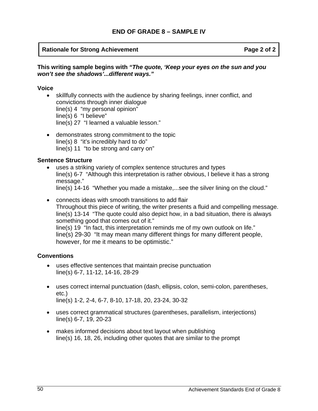### **Rationale for Strong Achievement Community Community Page 2 of 2 and 2 and 2 and 2 and 2 and 2 and 2 and 2 and 2 and 2 and 2 and 2 and 2 and 2 and 2 and 2 and 2 and 2 and 2 and 2 and 2 and 2 and 2 and 2 and 2 and 2 and 2**

### **This writing sample begins with** *"The quote, 'Keep your eyes on the sun and you won't see the shadows'...different ways."*

### **Voice**

- skillfully connects with the audience by sharing feelings, inner conflict, and convictions through inner dialogue line(s) 4 "my personal opinion" line(s) 6 "I believe" line(s) 27 "I learned a valuable lesson."
- demonstrates strong commitment to the topic line(s) 8 "it's incredibly hard to do" line(s) 11 "to be strong and carry on"

### **Sentence Structure**

- uses a striking variety of complex sentence structures and types line(s) 6-7 "Although this interpretation is rather obvious, I believe it has a strong message."
	- line(s) 14-16 "Whether you made a mistake,...see the silver lining on the cloud."
- connects ideas with smooth transitions to add flair Throughout this piece of writing, the writer presents a fluid and compelling message. line(s) 13-14 "The quote could also depict how, in a bad situation, there is always something good that comes out of it." line(s) 19 "In fact, this interpretation reminds me of my own outlook on life." line(s) 29-30 "It may mean many different things for many different people, however, for me it means to be optimistic."

### **Conventions**

- uses effective sentences that maintain precise punctuation line(s) 6-7, 11-12, 14-16, 28-29
- uses correct internal punctuation (dash, ellipsis, colon, semi-colon, parentheses, etc.) line(s) 1-2, 2-4, 6-7, 8-10, 17-18, 20, 23-24, 30-32
- uses correct grammatical structures (parentheses, parallelism, interjections) line(s) 6-7, 19, 20-23
- makes informed decisions about text layout when publishing line(s) 16, 18, 26, including other quotes that are similar to the prompt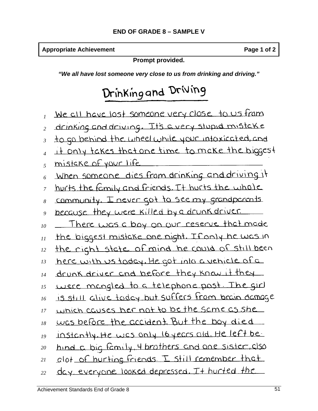**Prompt provided.** 

| <b>FIUIIIDI DIUVIUCU.</b>                                              |
|------------------------------------------------------------------------|
| "We all have lost someone very close to us from drinking and driving." |
| Drinking and Driving                                                   |
| We cill have lost someone very close to us from                        |
| drinking and driving. It's a very stupid mistake                       |
| to go behind the wheel while your infoxicated, and                     |
| it only takes that one time to make the biggest                        |
| mistake of your life                                                   |
| When someone dies from drinking and driving it                         |
| hurts the family and friends. It hurts the whole                       |
| community. I never got to see my grandparents                          |
| because they were killed by a drunk driver.                            |
| There was a boy on our reserve that made                               |

the biggest mistake one night. If only he was in *11* 

the right state of mind he could of still been *12* 

- here with us today. He got into a vehicle of a *13*
- drunk driver and before they knew it they *14*
- were mongled to a telephone post. The girl *15*
- is still glive today but suffers from brain damage *16*
- which causes her not to be the same as she *17*
- was before the accident. But the boy died *18*
- instantly He was only 16 years old. He left be *19*
- hind a big family. 4 brothers and one sister, also *20*
- clot of hurting friends. I still remember that *21*
- day everyone looked depressed. It hurted the *22*

**Appropriate Achievement Page 1 of 2 Page 1 of 2** 

*1* 

*2* 

*3* 

*4* 

*5* 

*6* 

*7* 

*8* 

*9* 

*10*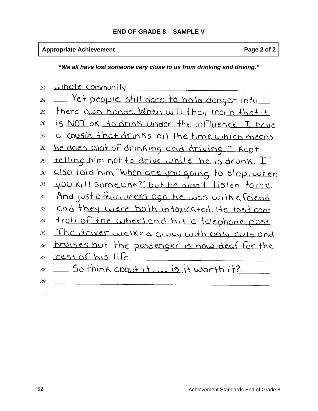# **Appropriate Achievement Page 2 of 2 Page 2 of 2**

*"We all have lost someone very close to us from drinking and driving."*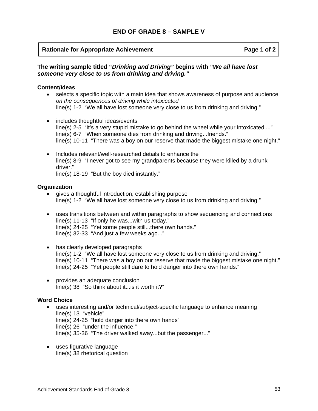### **Rationale for Appropriate Achievement Constrainer Achievement Rational Page 1 of 2**

### **The writing sample titled "***Drinking and Driving"* **begins with** *"We all have lost someone very close to us from drinking and driving."*

#### **Content/Ideas**

- selects a specific topic with a main idea that shows awareness of purpose and audience *on the consequences of driving while intoxicated* line(s) 1-2 "We all have lost someone very close to us from drinking and driving."
- includes thoughtful ideas/events line(s) 2-5 "It's a very stupid mistake to go behind the wheel while your intoxicated,..." line(s) 6-7 "When someone dies from drinking and driving...friends." line(s) 10-11 "There was a boy on our reserve that made the biggest mistake one night."
- Includes relevant/well-researched details to enhance the line(s) 8-9 "I never got to see my grandparents because they were killed by a drunk driver." line(s) 18-19 "But the boy died instantly."

#### **Organization**

- gives a thoughtful introduction, establishing purpose line(s) 1-2 "We all have lost someone very close to us from drinking and driving."
- uses transitions between and within paragraphs to show sequencing and connections line(s) 11-13 "If only he was...with us today." line(s) 24-25 "Yet some people still...there own hands." line(s) 32-33 "And just a few weeks ago..."
- has clearly developed paragraphs line(s) 1-2 "We all have lost someone very close to us from drinking and driving." line(s) 10-11 "There was a boy on our reserve that made the biggest mistake one night." line(s) 24-25 "Yet people still dare to hold danger into there own hands."
- provides an adequate conclusion line(s) 38 "So think about it...is it worth it?"

#### **Word Choice**

- uses interesting and/or technical/subject-specific language to enhance meaning line(s) 13 "vehicle" line(s) 24-25 "hold danger into there own hands" line(s) 26 "under the influence." line(s) 35-36 "The driver walked away...but the passenger..."
- uses figurative language line(s) 38 rhetorical question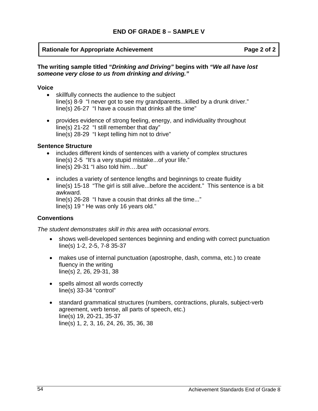### **Rationale for Appropriate Achievement Constrainer Achievement Rational Page 2 of 2**

### **The writing sample titled "***Drinking and Driving"* **begins with** *"We all have lost someone very close to us from drinking and driving."*

### **Voice**

- skillfully connects the audience to the subject line(s) 8-9 "I never got to see my grandparents...killed by a drunk driver." line(s) 26-27 "I have a cousin that drinks all the time"
- provides evidence of strong feeling, energy, and individuality throughout line(s) 21-22 "I still remember that day" line(s) 28-29 "I kept telling him not to drive"

### **Sentence Structure**

- includes different kinds of sentences with a variety of complex structures line(s) 2-5 "It's a very stupid mistake...of your life." line(s) 29-31 "I also told him….but"
- includes a variety of sentence lengths and beginnings to create fluidity line(s) 15-18 "The girl is still alive...before the accident." This sentence is a bit awkward. line(s) 26-28 "I have a cousin that drinks all the time..." line(s) 19 " He was only 16 years old."

### **Conventions**

*The student demonstrates skill in this area with occasional errors.* 

- shows well-developed sentences beginning and ending with correct punctuation line(s) 1-2, 2-5, 7-8 35-37
- makes use of internal punctuation (apostrophe, dash, comma, etc.) to create fluency in the writing line(s) 2, 26, 29-31, 38
- spells almost all words correctly line(s) 33-34 "control"
- standard grammatical structures (numbers, contractions, plurals, subject-verb agreement, verb tense, all parts of speech, etc.) line(s) 19, 20-21, 35-37 line(s) 1, 2, 3, 16, 24, 26, 35, 36, 38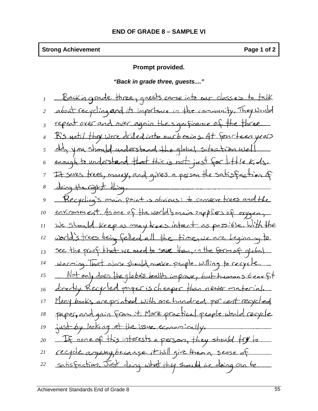# **Strong Achievement Contract Contract Contract Contract Contract Contract Contract Contract Page 1 of 2**

# **Prompt provided.**

*"Back in grade three, guests...."* 

|    | <u>Backingrade three, guests came into our classes to talk</u>  |
|----|-----------------------------------------------------------------|
| 2  | about recycling and its importance in the community. They would |
|    | repeat over and over again the significance of the three.       |
|    | B's until they were drilled into our brains. At fourteen years  |
|    | oldy you should understand the global situation well            |
|    | enough to understand that this is not just for little kids.     |
|    | It saves trees, movey, and gives a person the satisfaction of   |
|    | deing the right thing.                                          |
|    | Recycling's main point is obvious: to conserve trees and the    |
| 10 | environment. As one of the world's main explies of exygen,      |
| 11 | We should keep as many trees intact as possible. With the       |
| 12 | world's trees being felled all the time, we are beginning to    |
| 13 | see the proof that we need to save them, in the form of global  |
| 14 | warming. That alone should make people willing to recycle.      |
| 15 | Not only does the globes bealth improve, but humans benefit     |
| 16 | directly. Recycled paper is cheaper than newer material.        |
| 17 | Many books are printed with one hundred per cent recycled       |
| 18 | papes, and gain from it. More practical people would recycle    |
| 19 | just by looking at the issue economically.                      |
| 20 | If none of this interests a person, they should try to          |
| 21 | recycle anyoury, because it will give them a sense of           |
| 22 | satisfaction. Just doing what they should be doing can be       |
|    |                                                                 |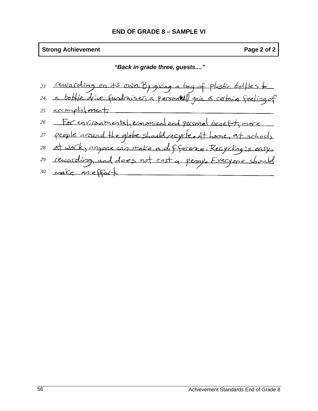### **Strong Achievement Page 2 of 2 Page 2 of 2**

### *"Back in grade three, guests...."*

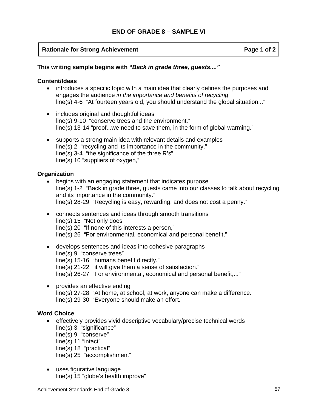### **Rationale for Strong Achievement Community Community Page 1 of 2 and 2 and 2 and 2 and 2 and 2 and 2 and 2 and 2 and 2 and 2 and 2 and 2 and 2 and 2 and 2 and 2 and 2 and 2 and 2 and 2 and 2 and 2 and 2 and 2 and 2 and 2**

### **This writing sample begins with** *"Back in grade three, guests...."*

#### **Content/Ideas**

- introduces a specific topic with a main idea that clearly defines the purposes and engages the audience *in the importance and benefits of recycling* line(s) 4-6 "At fourteen years old, you should understand the global situation..."
- includes original and thoughtful ideas line(s) 9-10 "conserve trees and the environment." line(s) 13-14 "proof...we need to save them, in the form of global warming."
- supports a strong main idea with relevant details and examples line(s) 2 "recycling and its importance in the community." line(s) 3-4 "the significance of the three R's" line(s) 10 "suppliers of oxygen,"

### **Organization**

- begins with an engaging statement that indicates purpose line(s) 1-2 "Back in grade three, guests came into our classes to talk about recycling and its importance in the community." line(s) 28-29 "Recycling is easy, rewarding, and does not cost a penny."
- connects sentences and ideas through smooth transitions line(s) 15 "Not only does" line(s) 20 "If none of this interests a person," line(s) 26 "For environmental, economical and personal benefit,"
- develops sentences and ideas into cohesive paragraphs line(s) 9 "conserve trees" line(s) 15-16 "humans benefit directly." line(s) 21-22 "it will give them a sense of satisfaction." line(s) 26-27 "For environmental, economical and personal benefit...."
- provides an effective ending line(s) 27-28 "At home, at school, at work, anyone can make a difference." line(s) 29-30 "Everyone should make an effort."

### **Word Choice**

- effectively provides vivid descriptive vocabulary/precise technical words line(s) 3 "significance" line(s) 9 "conserve"
	- line(s) 11 "intact"
	- line(s) 18 "practical"
	- line(s) 25 "accomplishment"
- uses figurative language line(s) 15 "globe's health improve"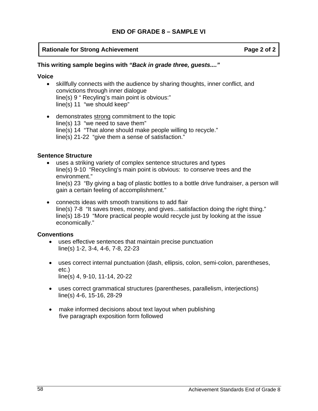# **Rationale for Strong Achievement Community Community Page 2 of 2 and 2 and 2 and 2 and 2 and 2 and 2 and 2 and 2 and 2 and 2 and 2 and 2 and 2 and 2 and 2 and 2 and 2 and 2 and 2 and 2 and 2 and 2 and 2 and 2 and 2 and 2**

### **This writing sample begins with** *"Back in grade three, guests...."*

### **Voice**

- skillfully connects with the audience by sharing thoughts, inner conflict, and convictions through inner dialogue line(s) 9 " Recyling's main point is obvious:" line(s) 11 "we should keep"
- demonstrates strong commitment to the topic line(s) 13 "we need to save them" line(s) 14 "That alone should make people willing to recycle." line(s) 21-22 "give them a sense of satisfaction."

### **Sentence Structure**

- uses a striking variety of complex sentence structures and types line(s) 9-10 "Recycling's main point is obvious: to conserve trees and the environment." line(s) 23 "By giving a bag of plastic bottles to a bottle drive fundraiser, a person will gain a certain feeling of accomplishment."
- connects ideas with smooth transitions to add flair line(s) 7-8 "It saves trees, money, and gives...satisfaction doing the right thing." line(s) 18-19 "More practical people would recycle just by looking at the issue economically."

### **Conventions**

- uses effective sentences that maintain precise punctuation line(s) 1-2, 3-4, 4-6, 7-8, 22-23
- uses correct internal punctuation (dash, ellipsis, colon, semi-colon, parentheses, etc.) line(s) 4, 9-10, 11-14, 20-22
- uses correct grammatical structures (parentheses, parallelism, interjections) line(s) 4-6, 15-16, 28-29
- make informed decisions about text layout when publishing five paragraph exposition form followed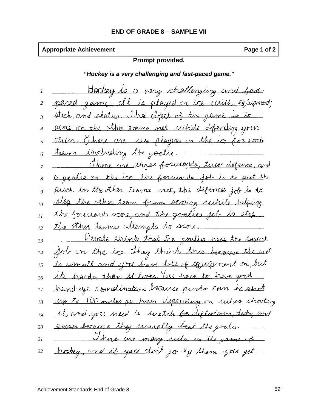# **Appropriate Achievement Page 1 of 2 Page 1 of 2**

# **Prompt provided.**

*"Hockey is a very challenging and fast-paced game."*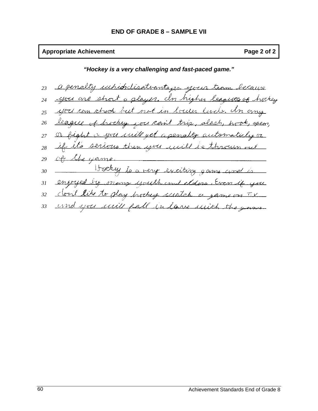# **Appropriate Achievement Page 2 of 2 Page 2 of 2**

# *"Hockey is a very challenging and fast-paced game."*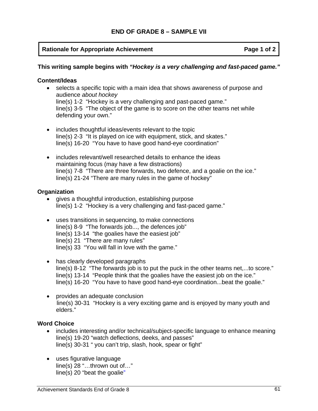# **Rationale for Appropriate Achievement Page 1 of 2 Page 1 of 2**

### **This writing sample begins with** *"Hockey is a very challenging and fast-paced game."*

### **Content/Ideas**

- selects a specific topic with a main idea that shows awareness of purpose and audience *about hockey* line(s) 1-2 "Hockey is a very challenging and past-paced game." line(s) 3-5 "The object of the game is to score on the other teams net while defending your own."
- includes thoughtful ideas/events relevant to the topic line(s) 2-3 "It is played on ice with equipment, stick, and skates." line(s) 16-20 "You have to have good hand-eye coordination"
- includes relevant/well researched details to enhance the ideas maintaining focus (may have a few distractions) line(s) 7-8 "There are three forwards, two defence, and a goalie on the ice." line(s) 21-24 "There are many rules in the game of hockey"

### **Organization**

- gives a thoughtful introduction, establishing purpose line(s) 1-2 "Hockey is a very challenging and fast-paced game."
- uses transitions in sequencing, to make connections line(s) 8-9 "The forwards job..., the defences job" line(s) 13-14 "the goalies have the easiest job" line(s) 21 "There are many rules" line(s) 33 "You will fall in love with the game."
- has clearly developed paragraphs line(s) 8-12 "The forwards job is to put the puck in the other teams net,...to score." line(s) 13-14 "People think that the goalies have the easiest job on the ice." line(s) 16-20 "You have to have good hand-eye coordination...beat the goalie."
- provides an adequate conclusion line(s) 30-31 "Hockey is a very exciting game and is enjoyed by many youth and elders."

### **Word Choice**

- includes interesting and/or technical/subject-specific language to enhance meaning line(s) 19-20 "watch deflections, deeks, and passes" line(s) 30-31 " you can't trip, slash, hook, spear or fight"
- uses figurative language line(s) 28 "…thrown out of…" line(s) 20 "beat the goalie"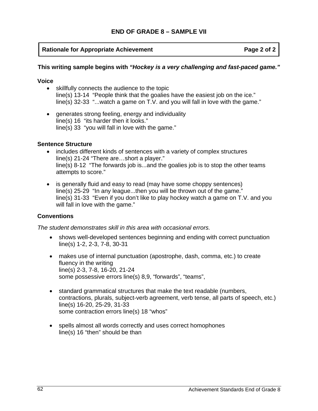# **Rationale for Appropriate Achievement Constrainer Achievement Page 2 of 2**

### **This writing sample begins with** *"Hockey is a very challenging and fast-paced game."*

### **Voice**

- skillfully connects the audience to the topic line(s) 13-14 "People think that the goalies have the easiest job on the ice." line(s) 32-33 "...watch a game on T.V. and you will fall in love with the game."
- generates strong feeling, energy and individuality line(s) 16 "its harder then it looks." line(s) 33 "you will fall in love with the game."

### **Sentence Structure**

- includes different kinds of sentences with a variety of complex structures line(s) 21-24 "There are…short a player." line(s) 8-12 "The forwards job is...and the goalies job is to stop the other teams attempts to score."
- is generally fluid and easy to read (may have some choppy sentences) line(s) 25-29 "In any league...then you will be thrown out of the game." line(s) 31-33 "Even if you don't like to play hockey watch a game on T.V. and you will fall in love with the game."

# **Conventions**

*The student demonstrates skill in this area with occasional errors.* 

- shows well-developed sentences beginning and ending with correct punctuation line(s) 1-2, 2-3, 7-8, 30-31
- makes use of internal punctuation (apostrophe, dash, comma, etc.) to create fluency in the writing line(s) 2-3, 7-8, 16-20, 21-24 some possessive errors line(s) 8,9, "forwards", "teams",
- standard grammatical structures that make the text readable (numbers, contractions, plurals, subject-verb agreement, verb tense, all parts of speech, etc.) line(s) 16-20, 25-29, 31-33 some contraction errors line(s) 18 "whos"
- spells almost all words correctly and uses correct homophones line(s) 16 "then" should be than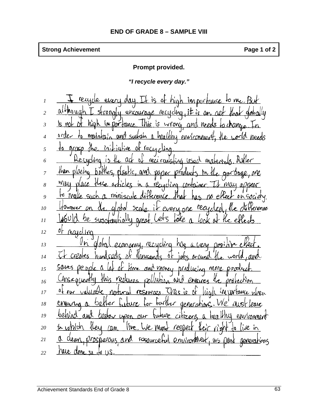# **Strong Achievement Contract Contract Contract Contract Contract Contract Contract Contract Page 1 of 2**

# **Prompt provided.**

*"I recycle every day."* 

|    | I recycle every day. It is of high importance to me. But                                                                          |
|----|-----------------------------------------------------------------------------------------------------------------------------------|
| 2  | although I strongly encourage recycling, it is an aet that globally                                                               |
| 3  | ts not of high in partance. This is wrong, and needs to change. In                                                                |
| 4  | order to maintain and sustain a healthy environment, the world needs                                                              |
| 5  | to group the initiative of recycling.                                                                                             |
| 6  | Recycling is the act of recirculating used materials. Author                                                                      |
| 7  | than placing bottles, plastic, and paper products in the gar bage, are                                                            |
| 8  | may place these articles in a recycling container It may appear                                                                   |
| 9  | to make such a miniscule difference that has no effect on society.                                                                |
| 10 |                                                                                                                                   |
| 11 | However on de global scale if every one recycled, the difference<br>Would be susstantially great Let's lake a look at the effects |
| 12 | or recycling                                                                                                                      |
| 13 | <u>In global economy, recycling has a cary positive effect.</u>                                                                   |
| 14 | It creates hundsels of thousands of jobs around the world, and                                                                    |
| 15 | saves people a let of time and money producing more product.<br>Consequently this reduces pollution and ensures the protection    |
| 16 |                                                                                                                                   |
| 17 | of our valuable, notwal resources This is of high in portance when                                                                |
| 18 | evening a better future for forther generations. We nust leave                                                                    |
| 19 | <u>behind and bestor upon our tuture citizens a healthy environment</u>                                                           |
| 20 | in which they can live . We must respect that right to live in                                                                    |
| 21 | a dean, prosperous, and resourceful environt let, us part generations                                                             |
| 22 | <u>have done so to us.</u>                                                                                                        |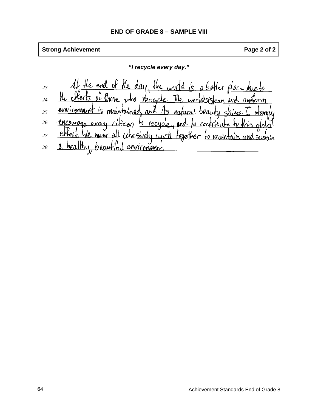**Strong Achievement Contract Contract Contract Contract Contract Contract Contract Contract Page 2 of 2** 

*"I recycle every day."* 

*23 24 25 26 27 28*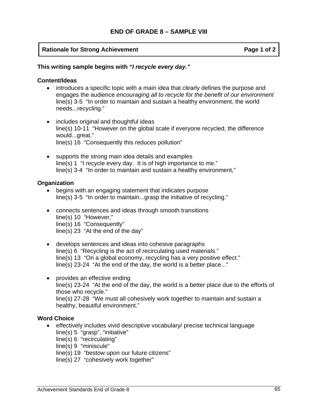### **Rationale for Strong Achievement Community Community Page 1 of 2 and 2 and 2 and 2 and 2 and 2 and 2 and 2 and 2 and 2 and 2 and 2 and 2 and 2 and 2 and 2 and 2 and 2 and 2 and 2 and 2 and 2 and 2 and 2 and 2 and 2 and 2**

**This writing sample begins with** *"I recycle every day."* 

#### **Content/Ideas**

- introduces a specific topic with a main idea that clearly defines the purpose and engages the audience *encouraging all to recycle for the benefit of our environment* line(s) 3-5 "In order to maintain and sustain a healthy environment, the world needs...recycling."
- includes original and thoughtful ideas line(s) 10-11 "However on the global scale if everyone recycled, the difference would...great." line(s) 16 "Consequently this reduces pollution"
- supports the strong main idea details and examples line(s) 1 "I recycle every day. It is of high importance to me." line(s) 3-4 "In order to maintain and sustain a healthy environment,"

### **Organization**

- begins with an engaging statement that indicates purpose line(s) 3-5 "In order to maintain...grasp the initiative of recycling."
- connects sentences and ideas through smooth transitions line(s) 10 "However," line(s) 16 "Consequently" line(s) 23 "At the end of the day"
- develops sentences and ideas into cohesive paragraphs line(s) 6 "Recycling is the act of recirculating used materials." line(s) 13 "On a global economy, recycling has a very positive effect." line(s) 23-24 "At the end of the day, the world is a better place..."
- provides an effective ending line(s) 23-24 "At the end of the day, the world is a better place due to the efforts of those who recycle." line(s) 27-28 "We must all cohesively work together to maintain and sustain a healthy, beautiful environment."

### **Word Choice**

- effectively includes vivid descriptive vocabulary/ precise technical language line(s) 5 "grasp", "initiative"
	- line(s) 6 "recirculating"
	- line(s) 9 "miniscule"
	- line(s) 19 "bestow upon our future citizens"
	- line(s) 27 "cohesively work together"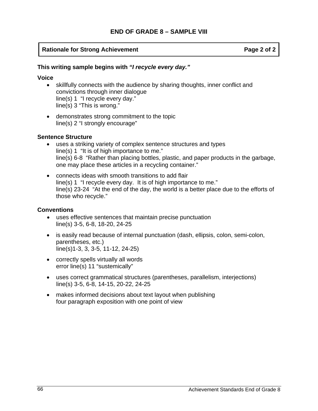# **Rationale for Strong Achievement Community Community Page 2 of 2 Page 2 of 2**

### **This writing sample begins with** *"I recycle every day."*

### **Voice**

- skillfully connects with the audience by sharing thoughts, inner conflict and convictions through inner dialogue line(s) 1 "I recycle every day." line(s) 3 "This is wrong."
- demonstrates strong commitment to the topic line(s) 2 "I strongly encourage"

### **Sentence Structure**

- uses a striking variety of complex sentence structures and types line(s) 1 "It is of high importance to me." line(s) 6-8 "Rather than placing bottles, plastic, and paper products in the garbage, one may place these articles in a recycling container."
- connects ideas with smooth transitions to add flair line(s) 1 "I recycle every day. It is of high importance to me." line(s) 23-24 "At the end of the day, the world is a better place due to the efforts of those who recycle."

### **Conventions**

- uses effective sentences that maintain precise punctuation line(s) 3-5, 6-8, 18-20, 24-25
- is easily read because of internal punctuation (dash, ellipsis, colon, semi-colon, parentheses, etc.) line(s)1-3, 3, 3-5, 11-12, 24-25)
- correctly spells virtually all words error line(s) 11 "sustemically"
- uses correct grammatical structures (parentheses, parallelism, interjections) line(s) 3-5, 6-8, 14-15, 20-22, 24-25
- makes informed decisions about text layout when publishing four paragraph exposition with one point of view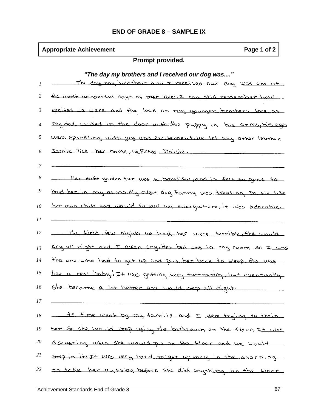| <b>Appropriate Achievement</b><br>Page 1 of 2 |                                                                   |                            |
|-----------------------------------------------|-------------------------------------------------------------------|----------------------------|
|                                               | Prompt provided.                                                  |                            |
|                                               | "The day my brothers and I received our dog was"                  |                            |
| 1                                             | The day my brathers and I received our dog was one of             |                            |
| 2                                             | the most undertal days of our lives. I can still remember how     |                            |
| 3                                             | excited we were and the look on my younger brothers face as       |                            |
| 4                                             | my dad walked in the door with the puppy in his armo, his eyes    |                            |
| 5                                             | MELE SPOCKTING WITH TOP OUT EXCITENCEMITING 157 DOR OTHER PROTHER |                            |
| 6                                             | Jamie Pick ber name, beflicked Darsie                             |                            |
|                                               |                                                                   |                            |
| 8                                             | Her saft golder fur was so beautiful and it                       | <del>feit so good to</del> |
| 9                                             | WH arms My oldest dog Fanny was treating Daisir                   |                            |
| 10                                            | her awa child and would follow her everywhere, it was adocable.   |                            |
| 11                                            |                                                                   |                            |
| 12                                            | first few nights we had her were terrible, She would              |                            |
| 13                                            | I mean cry. Her bed was in my ream so I<br>Exy all night, and     |                            |
| 14                                            | the one who had to get up and put her back to sleep. She was      |                            |
| 15                                            | like a real baby. It was getting very fust rating, but eventually |                            |
| 16                                            | She became a lot better and would sleep all night.                |                            |
| 17                                            |                                                                   |                            |
| 18                                            | As time went by my family and I were trying to train.             |                            |
| 19                                            | her so she would stop using the bathrown on the floor. It was     |                            |
| 20                                            | discussing when she would pee on the floor and we would           |                            |
| 21                                            | step in it. It was very hard to get up early in the morning       |                            |
| 22                                            | to take her outside before she did enything on the floor.         |                            |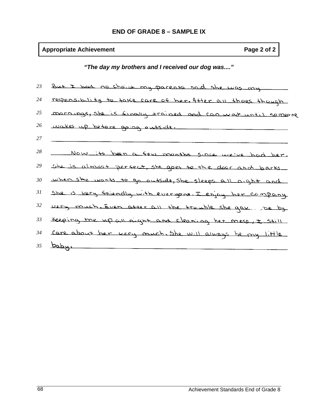# **Appropriate Achievement Page 2 of 2 Page 2 of 2**

*"The day my brothers and I received our dog was...."* 

| 23              | But I had no chove my parents said she was my               |
|-----------------|-------------------------------------------------------------|
| 24              | responsibility to take care of her. After all those though  |
| 25              | marrings, she is finally trained and can wait until someone |
| 26              | makes up before going outside.                              |
| 27              |                                                             |
| 28              | Now its been a few months since we've bad her.              |
| 29              | she is almost perfect, she goes to the door and barks       |
| 30              | when she wants to go outside, she sleeps all night and      |
| 31              | She is very friendly with everyone. I enjoy her company     |
| 32              | wery rouch. Even after all the trouble she gave the by      |
| 33              | Keeping me up all night and cleaning her mess, I still      |
| 34              | Care about her very much. She will always be my little      |
| 35 <sup>7</sup> | <u>baby.</u>                                                |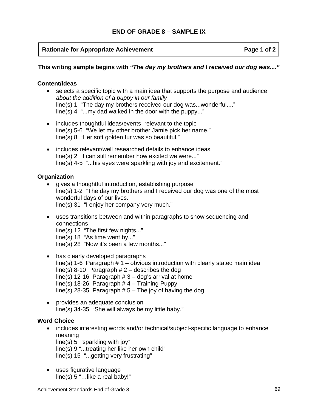## **Rationale for Appropriate Achievement Constrainer Achievement Rational Page 1 of 2**

#### **This writing sample begins with** *"The day my brothers and I received our dog was...."*

#### **Content/Ideas**

- selects a specific topic with a main idea that supports the purpose and audience *about the addition of a puppy in our family* line(s) 1 "The day my brothers received our dog was...wonderful...." line(s) 4 "...my dad walked in the door with the puppy..."
- includes thoughtful ideas/events relevant to the topic line(s) 5-6 "We let my other brother Jamie pick her name," line(s) 8 "Her soft golden fur was so beautiful,"
- includes relevant/well researched details to enhance ideas line(s) 2 "I can still remember how excited we were..." line(s) 4-5 "...his eyes were sparkling with joy and excitement."

#### **Organization**

- gives a thoughtful introduction, establishing purpose line(s) 1-2 "The day my brothers and I received our dog was one of the most wonderful days of our lives." line(s) 31 "I enjoy her company very much."
- uses transitions between and within paragraphs to show sequencing and connections line(s) 12 "The first few nights..." line(s) 18 "As time went by..."

line(s) 28 "Now it's been a few months..."

- has clearly developed paragraphs line(s) 1-6 Paragraph  $# 1 -$  obvious introduction with clearly stated main idea line(s) 8-10 Paragraph  $# 2$  – describes the dog line(s) 12-16 Paragraph  $# 3 - dog's$  arrival at home line(s) 18-26 Paragraph  $# 4 -$  Training Puppy line(s) 28-35 Paragraph  $# 5$  – The joy of having the dog
- provides an adequate conclusion line(s) 34-35 "She will always be my little baby."

## **Word Choice**

- includes interesting words and/or technical/subject-specific language to enhance meaning line(s) 5 "sparkling with joy" line(s) 9 "...treating her like her own child" line(s) 15 "...getting very frustrating"
- uses figurative language line(s) 5 "…like a real baby!"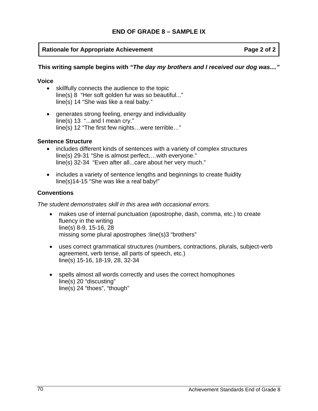## **Rationale for Appropriate Achievement Constrainer Achievement Rational Page 2 of 2**

## **This writing sample begins with** *"The day my brothers and I received our dog was...."*

#### **Voice**

- skillfully connects the audience to the topic line(s) 8 "Her soft golden fur was so beautiful..." line(s) 14 "She was like a real baby."
- generates strong feeling, energy and individuality line(s) 13 "...and I mean cry." line(s) 12 "The first few nights…were terrible…"

#### **Sentence Structure**

- includes different kinds of sentences with a variety of complex structures line(s) 29-31 "She is almost perfect,…with everyone." line(s) 32-34 "Even after all...care about her very much."
- includes a variety of sentence lengths and beginnings to create fluidity line(s)14-15 "She was like a real baby!"

## **Conventions**

*The student demonstrates skill in this area with occasional errors.* 

- makes use of internal punctuation (apostrophe, dash, comma, etc.) to create fluency in the writing line(s) 8-9, 15-16, 28 missing some plural apostrophes : line(s)3 "brothers"
- uses correct grammatical structures (numbers, contractions, plurals, subject-verb agreement, verb tense, all parts of speech, etc.) line(s) 15-16, 18-19, 28, 32-34
- spells almost all words correctly and uses the correct homophones line(s) 20 "discusting" line(s) 24 "thoes", "though"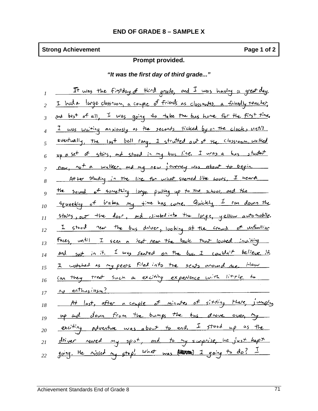# **Strong Achievement Page 1 of 2**

## **Prompt provided.**

*"It was the first day of third grade..."* 

|                | It was the firstday of third grade, and I was having a great day.               |
|----------------|---------------------------------------------------------------------------------|
| $\overline{c}$ | I had a large clussroom, a couple of friends as classmates, a friendly teacher, |
| $\mathfrak{Z}$ | and best of all, I was going to take the bus home for the first time,           |
| $\overline{4}$ | I was waiting anxiously as the seconds ticked by on the clock, MM               |
| 5              | eventually, the last bell rang. I strutted out of the classroom, walked         |
| 6              | up a set of stairs, and stood in my bus line. I was a bus student               |
| 7              | now, not a walker, and my new journey was about to begin.                       |
| 8              | After studing in the line for what seemed like bows. I heard                    |
| 9              | the sound of something large pulling up to the school, and the                  |
| 10             | Squeeking of brakes. My time has come. Quickly, I can down the                  |
| $l\bar{l}$     | stars, out the door, and climbed into the large, yellow automobile.             |
| 12             | I stood near the bus driver, looking at the crowd of unfamiliar                 |
| 13             | Faces, with I seen a sept near the back that looked inviting                    |
| 14             | and sat in it. I was seated on the bus. I couldn't believe 12                   |
| 15             | I watched as my peers filed into the seats around ne. How                       |
| 16             | can they treat such a exciting experience with little to                        |
| 17             | <u>no enthusiusm?</u>                                                           |
| 18             | At last, after a couple of minutes of sitting there, jumply                     |
| 19             | up and down from the bumps the bus drove over my                                |
| 20             | exciting adventure was about to end. I stood up as the                          |
| 21             | driver reared my spot, and to my surprise, he just kept                         |
| 22             | going, He nissed my stop' what was there is going to do? I                      |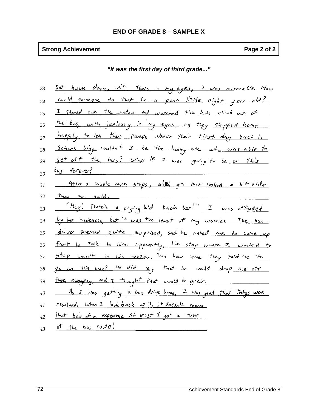## **Strong Achievement Page 2 of 2**

*"It was the first day of third grade..."* 

| 23 | Set back down, with tears in my eyes, I was niserable. How          |
|----|---------------------------------------------------------------------|
| 24 | could soncore do that to a poor little eight year old?              |
| 25 | I stored out the window and watched the kids climb out of           |
| 26 | the bus, with jealousy in my eyes, as they shipped home             |
| 27 | happily to tell their parents about their First day back is         |
| 28 | School. Why couldn't I be the lucky one who was able to             |
| 29 | get of t the bus? What if I was going to be on this                 |
| 30 | bus forever?                                                        |
| 31 | After a couple more stops, a (2) girl that looked a bit older       |
| 32 | than we said,                                                       |
| 33 | "Hey! There's a crying hid back her!" I was offended                |
| 34 | by her rudeness, but it was the least of my worries. The bus        |
| 35 | driver seemed quite surprised, and he asked me to come up           |
| 36 | <u>Front to talk to him. Apparently, the stop where I wanted to</u> |
| 37 | stop wasn't in his route. Then how come they told me to             |
| 38 | go on this bus? He did say that he could drop ne off                |
| 39 | there everyday, and I thought that would be great.                  |
| 40 | As I was getting a bus drive home, I was glad that things were      |
| 41 | resolved, when I look back at it, it doesn't seem                   |
| 42 | that bad of an experience. At least 1 got a town                    |
| 43 | of the bus route!                                                   |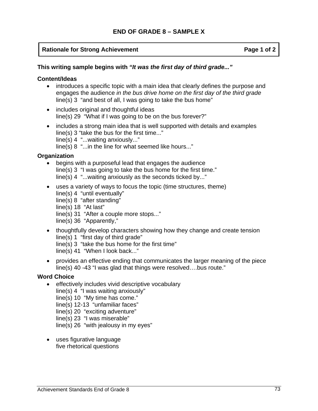#### **Rationale for Strong Achievement Community Community Page 1 of 2 and 2 and 2 and 2 and 2 and 2 and 2 and 2 and 2 and 2 and 2 and 2 and 2 and 2 and 2 and 2 and 2 and 2 and 2 and 2 and 2 and 2 and 2 and 2 and 2 and 2 and 2**

#### **This writing sample begins with** *"It was the first day of third grade..."*

#### **Content/Ideas**

- introduces a specific topic with a main idea that clearly defines the purpose and engages the audience *in the bus drive home on the first day of the third grade* line(s) 3 "and best of all, I was going to take the bus home"
- includes original and thoughtful ideas line(s) 29 "What if I was going to be on the bus forever?"
- includes a strong main idea that is well supported with details and examples line(s) 3 "take the bus for the first time..." line(s) 4 "...waiting anxiously..." line(s) 8 "...in the line for what seemed like hours..."

#### **Organization**

- begins with a purposeful lead that engages the audience line(s) 3 "I was going to take the bus home for the first time." line(s) 4 "...waiting anxiously as the seconds ticked by..."
- uses a variety of ways to focus the topic (time structures, theme) line(s) 4 "until eventually" line(s) 8 "after standing" line(s) 18 "At last" line(s) 31 "After a couple more stops..." line(s) 36 "Apparently,"
- thoughtfully develop characters showing how they change and create tension line(s) 1 "first day of third grade" line(s) 3 "take the bus home for the first time" line(s) 41 "When I look back..."
- provides an effective ending that communicates the larger meaning of the piece line(s) 40 -43 "I was glad that things were resolved….bus route."

#### **Word Choice**

- effectively includes vivid descriptive vocabulary line(s) 4 "I was waiting anxiously" line(s) 10 "My time has come." line(s) 12-13 "unfamiliar faces" line(s) 20 "exciting adventure" line(s) 23 "I was miserable"
	- line(s) 26 "with jealousy in my eyes"
- uses figurative language five rhetorical questions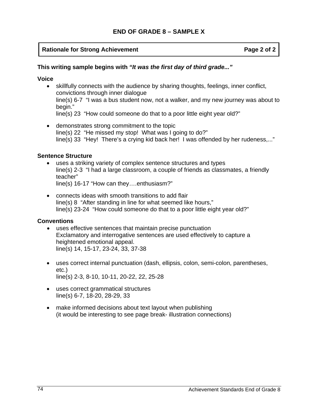## **Rationale for Strong Achievement Community Community Page 2 of 2 and 2 and 2 and 2 and 2 and 2 and 2 and 2 and 2 and 2 and 2 and 2 and 2 and 2 and 2 and 2 and 2 and 2 and 2 and 2 and 2 and 2 and 2 and 2 and 2 and 2 and 2**

## **This writing sample begins with** *"It was the first day of third grade..."*

#### **Voice**

- skillfully connects with the audience by sharing thoughts, feelings, inner conflict, convictions through inner dialogue line(s) 6-7 "I was a bus student now, not a walker, and my new journey was about to begin." line(s) 23 "How could someone do that to a poor little eight year old?"
- demonstrates strong commitment to the topic line(s) 22 "He missed my stop! What was I going to do?" line(s) 33 "Hey! There's a crying kid back her! I was offended by her rudeness,..."

## **Sentence Structure**

- uses a striking variety of complex sentence structures and types line(s) 2-3 "I had a large classroom, a couple of friends as classmates, a friendly teacher" line(s) 16-17 "How can they….enthusiasm?"
- connects ideas with smooth transitions to add flair line(s) 8 "After standing in line for what seemed like hours," line(s) 23-24 "How could someone do that to a poor little eight year old?"

## **Conventions**

- uses effective sentences that maintain precise punctuation Exclamatory and interrogative sentences are used effectively to capture a heightened emotional appeal. line(s) 14, 15-17, 23-24, 33, 37-38
- uses correct internal punctuation (dash, ellipsis, colon, semi-colon, parentheses, etc.) line(s) 2-3, 8-10, 10-11, 20-22, 22, 25-28
- uses correct grammatical structures line(s) 6-7, 18-20, 28-29, 33
- make informed decisions about text layout when publishing (it would be interesting to see page break- illustration connections)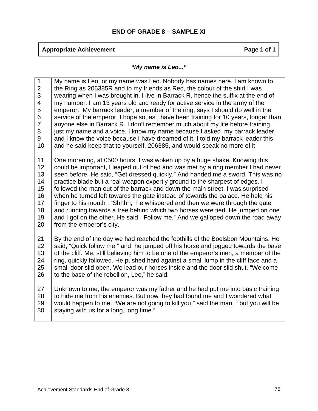## **Appropriate Achievement Page 1 of 1**

#### *"My name is Leo..."*

1 2 3 4 5 6 7 8 9 10 11 12 13 14 15 16 17 18 19 20 21 22 23 24 25 26 27 28 29 30 My name is Leo, or my name was Leo. Nobody has names here. I am known to the Ring as 206385R and to my friends as Red, the colour of the shirt I was wearing when I was brought in. I live in Barrack R, hence the suffix at the end of my number. I am 13 years old and ready for active service in the army of the emperor. My barrack leader, a member of the ring, says I should do well in the service of the emperor. I hope so, as I have been training for 10 years, longer than anyone else in Barrack R. I don't remember much about my life before training, just my name and a voice. I know my name because I asked my barrack leader, and I know the voice because I have dreamed of it. I told my barrack leader this and he said keep that to yourself, 206385, and would speak no more of it. One morening, at 0500 hours, I was woken up by a huge shake. Knowing this could be important, I leaped out of bed and was met by a ring member I had never seen before. He said, "Get dressed quickly." And handed me a sword. This was no practice blade but a real weapon expertly ground to the sharpest of edges. I followed the man out of the barrack and down the main street. I was surprised when he turned left towards the gate instead of towards the palace. He held his finger to his mouth . "Shhhh," he whispered and then we were through the gate and running towards a tree behind which two horses were tied. He jumped on one and I got on the other. He said, "Follow me." And we galloped down the road away from the emperor's city. By the end of the day we had reached the foothills of the Boelsbon Mountains. He said, "Quick follow me." and he jumped off his horse and jogged towards the base of the cliff. Me, still believing him to be one of the emperor's men, a member of the ring, quickly followed. He pushed hard against a small lump in the cliff face and a small door slid open. We lead our horses inside and the door slid shut. "Welcome to the base of the rebellion, Leo," he said. Unknown to me, the emperor was my father and he had put me into basic training to hide me from his enemies. But now they had found me and I wondered what would happen to me. "We are not going to kill you," said the man, " but you will be staying with us for a long, long time."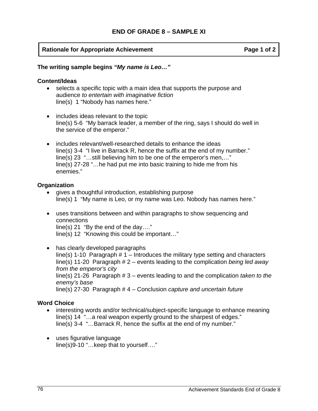## **Rationale for Appropriate Achievement Constrainer Achievement Rational Page 1 of 2**

#### **The writing sample begins** *"My name is Leo…"*

#### **Content/Ideas**

- selects a specific topic with a main idea that supports the purpose and audience *to entertain with imaginative fiction* line(s) 1 "Nobody has names here."
- includes ideas relevant to the topic line(s) 5-6 "My barrack leader, a member of the ring, says I should do well in the service of the emperor."
- includes relevant/well-researched details to enhance the ideas line(s) 3-4 "I live in Barrack R, hence the suffix at the end of my number." line(s) 23 "…still believing him to be one of the emperor's men,…" line(s) 27-28 "…he had put me into basic training to hide me from his enemies."

#### **Organization**

- gives a thoughtful introduction, establishing purpose line(s) 1 "My name is Leo, or my name was Leo. Nobody has names here."
- uses transitions between and within paragraphs to show sequencing and connections line(s) 21 "By the end of the day…." line(s) 12 "Knowing this could be important…"
- has clearly developed paragraphs line(s) 1-10 Paragraph  $# 1 - Introduces$  the military type setting and characters line(s) 11-20 Paragraph # 2 – events leading to the complication *being led away from the emperor's city*  line(s) 21-26 Paragraph # 3 – events leading to and the complication *taken to the enemy's base* line(s) 27-30 Paragraph # 4 – Conclusion *capture and uncertain future*

#### **Word Choice**

- interesting words and/or technical/subject-specific language to enhance meaning line(s) 14 "…a real weapon expertly ground to the sharpest of edges." line(s) 3-4 "…Barrack R, hence the suffix at the end of my number."
- uses figurative language line(s)9-10 "…keep that to yourself…."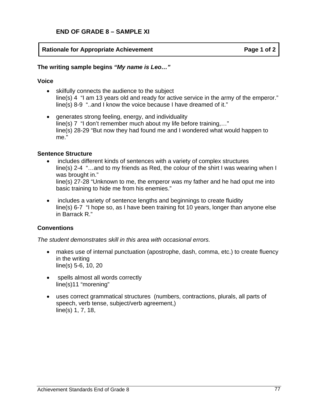## **Rationale for Appropriate Achievement Page 1 of 2 Page 1 of 2**

#### **The writing sample begins** *"My name is Leo…"*

#### **Voice**

- skilfully connects the audience to the subject line(s) 4 "I am 13 years old and ready for active service in the army of the emperor." line(s) 8-9 "..and I know the voice because I have dreamed of it."
- generates strong feeling, energy, and individuality line(s) 7 "I don't remember much about my life before training,…" line(s) 28-29 "But now they had found me and I wondered what would happen to me."

## **Sentence Structure**

- includes different kinds of sentences with a variety of complex structures line(s) 2-4 "…and to my friends as Red, the colour of the shirt I was wearing when I was brought in." line(s) 27-28 "Unknown to me, the emperor was my father and he had oput me into basic training to hide me from his enemies."
- includes a variety of sentence lengths and beginnings to create fluidity line(s) 6-7 "I hope so, as I have been training fot 10 years, longer than anyone else in Barrack R."

## **Conventions**

*The student demonstrates skill in this area with occasional errors.* 

- makes use of internal punctuation (apostrophe, dash, comma, etc.) to create fluency in the writing line(s) 5-6, 10, 20
- spells almost all words correctly line(s)11 "morening"
- uses correct grammatical structures (numbers, contractions, plurals, all parts of speech, verb tense, subject/verb agreement,) line(s) 1, 7, 18,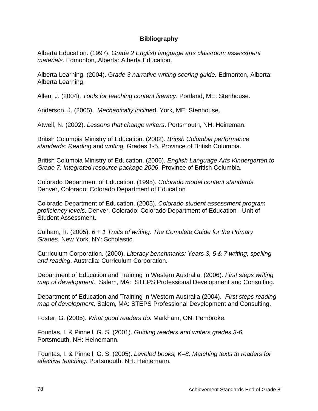## **Bibliography**

Alberta Education. (1997). G*rade 2 English language arts classroom assessment materials.* Edmonton, Alberta: Alberta Education.

Alberta Learning. (2004). G*rade 3 narrative writing scoring guide.* Edmonton, Alberta: Alberta Learning.

Allen, J. (2004). *Tools for teaching content literacy*. Portland, ME: Stenhouse.

Anderson, J. (2005). *Mechanically incline*d. York, ME: Stenhouse.

Atwell, N. (2002). *Lessons that change writers*. Portsmouth, NH: Heineman.

British Columbia Ministry of Education. (2002). *British Columbia performance standards: Reading* and w*riting,* Grades 1-5. Province of British Columbia.

British Columbia Ministry of Education. (2006). *English Language Arts Kindergarten to Grade 7: Integrated resource package 2006*. Province of British Columbia.

Colorado Department of Education. (1995). *Colorado model content standards.*  Denver, Colorado: Colorado Department of Education*.* 

Colorado Department of Education. (2005). *Colorado student assessment program proficiency levels*. Denver, Colorado: Colorado Department of Education - Unit of Student Assessment.

Culham, R. (2005). *6 + 1 Traits of writing: The Complete Guide for the Primary Grades*. New York, NY: Scholastic.

Curriculum Corporation. (2000). *Literacy benchmarks: Years 3, 5 & 7 writing, spelling and reading*. Australia: Curriculum Corporation.

Department of Education and Training in Western Australia. (2006). *First steps writing map of development*. Salem, MA: STEPS Professional Development and Consulting.

Department of Education and Training in Western Australia (2004). *First steps reading map of development*. Salem, MA: STEPS Professional Development and Consulting.

Foster, G. (2005). *What good readers do.* Markham, ON: Pembroke.

Fountas, I. & Pinnell, G. S. (2001). *Guiding readers and writers grades 3-6.*  Portsmouth, NH: Heinemann.

Fountas, I. & Pinnell, G. S. (2005). *Leveled books, K–8: Matching texts to readers for effective teaching.* Portsmouth, NH: Heinemann.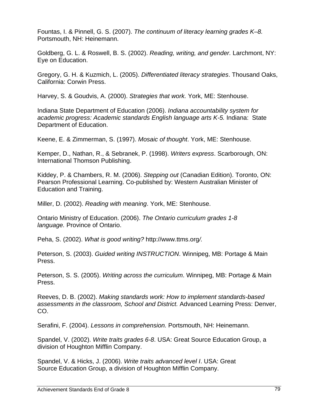Fountas, I. & Pinnell, G. S. (2007). *The continuum of literacy learning grades K–8.*  Portsmouth, NH: Heinemann.

Goldberg, G. L. & Roswell, B. S. (2002). *Reading, writing, and gender.* Larchmont, NY: Eye on Education.

Gregory, G. H. & Kuzmich, L. (2005). *Differentiated literacy strategies*. Thousand Oaks, California: Corwin Press.

Harvey, S. & Goudvis, A. (2000). *Strategies that work.* York, ME: Stenhouse.

Indiana State Department of Education (2006). *Indiana accountability system for academic progress: Academic standards English language arts K-5.* Indiana: State Department of Education.

Keene, E. & Zimmerman, S. (1997). *Mosaic of thought*. York, ME: Stenhouse.

Kemper, D., Nathan, R., & Sebranek, P. (1998). *Writers express*. Scarborough, ON: International Thomson Publishing.

Kiddey, P. & Chambers, R. M. (2006). *Stepping out* (Canadian Edition). Toronto, ON: Pearson Professional Learning. Co-published by: Western Australian Minister of Education and Training.

Miller, D. (2002). *Reading with meaning*. York, ME: Stenhouse.

Ontario Ministry of Education. (2006). *The Ontario curriculum grades 1-8 language.* Province of Ontario.

Peha, S. (2002). *What is good writing?* http://www.ttms.org*/.* 

Peterson, S. (2003). *Guided writing INSTRUCTION*. Winnipeg, MB: Portage & Main Press.

Peterson, S. S. (2005). *Writing across the curriculum*. Winnipeg, MB: Portage & Main Press.

Reeves, D. B. (2002). *Making standards work: How to implement standards-based assessments in the classroom, School and District.* Advanced Learning Press: Denver, CO.

Serafini, F. (2004). *Lessons in comprehension.* Portsmouth, NH: Heinemann.

Spandel, V. (2002). *Write traits grades 6-8*. USA: Great Source Education Group, a division of Houghton Mifflin Company.

Spandel, V. & Hicks, J. (2006). *Write traits advanced level I*. USA: Great Source Education Group, a division of Houghton Mifflin Company.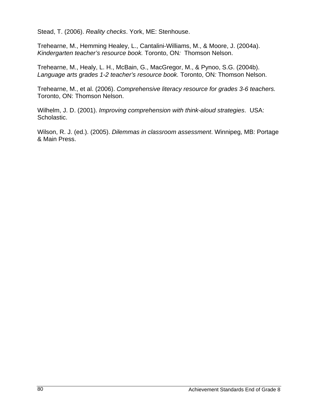Stead, T. (2006). *Reality checks*. York, ME: Stenhouse.

Trehearne, M., Hemming Healey, L., Cantalini-Williams, M., & Moore, J. (2004a). *Kindergarten teacher's resource book.* Toronto, ON*:* Thomson Nelson.

Trehearne, M., Healy, L. H., McBain, G., MacGregor, M., & Pynoo, S.G. (2004b). *Language arts grades 1-2 teacher's resource book.* Toronto, ON*:* Thomson Nelson.

Trehearne, M., et al. (2006). *Comprehensive literacy resource for grades 3-6 teachers.*  Toronto, ON: Thomson Nelson.

Wilhelm, J. D. (2001). *Improving comprehension with think-aloud strategies*. USA: Scholastic.

Wilson, R. J. (ed.). (2005). *Dilemmas in classroom assessment*. Winnipeg, MB: Portage & Main Press.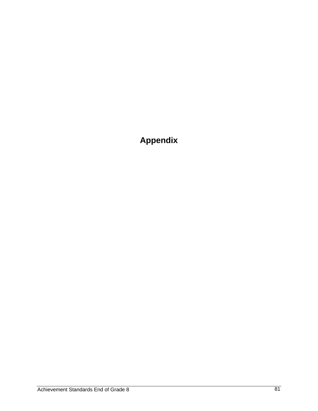**Appendix**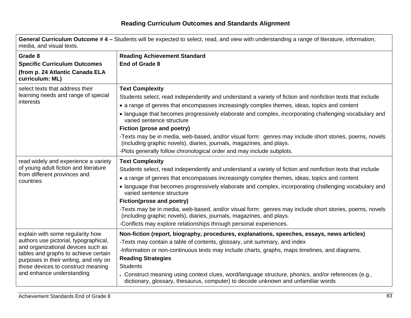| General Curriculum Outcome #4 – Students will be expected to select, read, and view with understanding a range of literature, information,<br>media, and visual texts. |                                                                                                                                                                                          |  |
|------------------------------------------------------------------------------------------------------------------------------------------------------------------------|------------------------------------------------------------------------------------------------------------------------------------------------------------------------------------------|--|
| Grade 8                                                                                                                                                                | <b>Reading Achievement Standard</b>                                                                                                                                                      |  |
| <b>Specific Curriculum Outcomes</b>                                                                                                                                    | End of Grade 8                                                                                                                                                                           |  |
| (from p. 24 Atlantic Canada ELA<br>curriculum: ML)                                                                                                                     |                                                                                                                                                                                          |  |
| select texts that address their                                                                                                                                        | <b>Text Complexity</b>                                                                                                                                                                   |  |
| learning needs and range of special                                                                                                                                    | Students select, read independently and understand a variety of fiction and nonfiction texts that include                                                                                |  |
| interests                                                                                                                                                              | • a range of genres that encompasses increasingly complex themes, ideas, topics and content                                                                                              |  |
|                                                                                                                                                                        | • language that becomes progressively elaborate and complex, incorporating challenging vocabulary and<br>varied sentence structure                                                       |  |
|                                                                                                                                                                        | Fiction (prose and poetry)                                                                                                                                                               |  |
|                                                                                                                                                                        | -Texts may be in media, web-based, and/or visual form: genres may include short stories, poems, novels<br>(including graphic novels), diaries, journals, magazines, and plays.           |  |
|                                                                                                                                                                        | -Plots generally follow chronological order and may include subplots.                                                                                                                    |  |
| read widely and experience a variety                                                                                                                                   | <b>Text Complexity</b>                                                                                                                                                                   |  |
| of young adult fiction and literature                                                                                                                                  | Students select, read independently and understand a variety of fiction and nonfiction texts that include                                                                                |  |
| from different provinces and<br>countries                                                                                                                              | • a range of genres that encompasses increasingly complex themes, ideas, topics and content                                                                                              |  |
|                                                                                                                                                                        | • language that becomes progressively elaborate and complex, incorporating challenging vocabulary and<br>varied sentence structure                                                       |  |
|                                                                                                                                                                        | Fiction(prose and poetry)                                                                                                                                                                |  |
|                                                                                                                                                                        | -Texts may be in media, web-based, and/or visual form: genres may include short stories, poems, novels<br>(including graphic novels), diaries, journals, magazines, and plays.           |  |
|                                                                                                                                                                        | -Conflicts may explore relationships through personal experiences.                                                                                                                       |  |
| explain with some regularity how                                                                                                                                       | Non-fiction (report, biography, procedures, explanations, speeches, essays, news articles)                                                                                               |  |
| authors use pictorial, typographical,                                                                                                                                  | -Texts may contain a table of contents, glossary, unit summary, and index                                                                                                                |  |
| and organizational devices such as<br>tables and graphs to achieve certain                                                                                             | -Information or non-continuous texts may include charts, graphs, maps timelines, and diagrams.                                                                                           |  |
| purposes in their writing, and rely on                                                                                                                                 | <b>Reading Strategies</b>                                                                                                                                                                |  |
| those devices to construct meaning                                                                                                                                     | <b>Students</b>                                                                                                                                                                          |  |
| and enhance understanding                                                                                                                                              | . Construct meaning using context clues, word/language structure, phonics, and/or references (e.g.,<br>dictionary, glossary, thesaurus, computer) to decode unknown and unfamiliar words |  |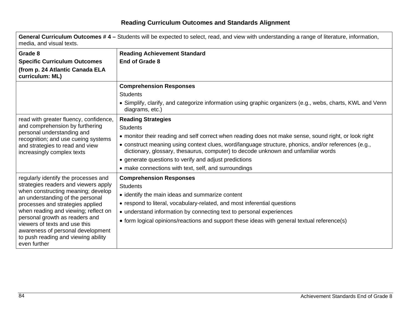| <b>OCHELAL CALLICATURITY ORIGINIES # 4 –</b> ORIGINS WILL DE EXPECTED TO SCIECH, LEAU, ALIU VIEW WILLI UNIQEISTANDING A LANGE OF INCLATURE, INIONITATION,<br>media, and visual texts. |                                                                                                                                                                                          |  |
|---------------------------------------------------------------------------------------------------------------------------------------------------------------------------------------|------------------------------------------------------------------------------------------------------------------------------------------------------------------------------------------|--|
| Grade 8                                                                                                                                                                               | <b>Reading Achievement Standard</b>                                                                                                                                                      |  |
| <b>Specific Curriculum Outcomes</b>                                                                                                                                                   | End of Grade 8                                                                                                                                                                           |  |
| (from p. 24 Atlantic Canada ELA<br>curriculum: ML)                                                                                                                                    |                                                                                                                                                                                          |  |
|                                                                                                                                                                                       | <b>Comprehension Responses</b>                                                                                                                                                           |  |
|                                                                                                                                                                                       | <b>Students</b>                                                                                                                                                                          |  |
|                                                                                                                                                                                       | Simplify, clarify, and categorize information using graphic organizers (e.g., webs, charts, KWL and Venn<br>diagrams, etc.)                                                              |  |
| read with greater fluency, confidence,                                                                                                                                                | <b>Reading Strategies</b>                                                                                                                                                                |  |
| and comprehension by furthering                                                                                                                                                       | <b>Students</b>                                                                                                                                                                          |  |
| personal understanding and<br>recognition; and use cueing systems                                                                                                                     | • monitor their reading and self correct when reading does not make sense, sound right, or look right                                                                                    |  |
| and strategies to read and view<br>increasingly complex texts                                                                                                                         | • construct meaning using context clues, word/language structure, phonics, and/or references (e.g.,<br>dictionary, glossary, thesaurus, computer) to decode unknown and unfamiliar words |  |
|                                                                                                                                                                                       | • generate questions to verify and adjust predictions                                                                                                                                    |  |
|                                                                                                                                                                                       | • make connections with text, self, and surroundings                                                                                                                                     |  |
| regularly identify the processes and                                                                                                                                                  | <b>Comprehension Responses</b>                                                                                                                                                           |  |
| strategies readers and viewers apply                                                                                                                                                  | <b>Students</b>                                                                                                                                                                          |  |
| when constructing meaning; develop<br>an understanding of the personal                                                                                                                | • identify the main ideas and summarize content                                                                                                                                          |  |
| processes and strategies applied                                                                                                                                                      | • respond to literal, vocabulary-related, and most inferential questions                                                                                                                 |  |
| when reading and viewing; reflect on                                                                                                                                                  | • understand information by connecting text to personal experiences                                                                                                                      |  |
| personal growth as readers and<br>viewers of texts and use this<br>awareness of personal development<br>to push reading and viewing ability<br>even further                           | • form logical opinions/reactions and support these ideas with general textual reference(s)                                                                                              |  |

**General Curriculum Outcomes # 4 –** Students will be expected to select, read, and view with understanding a range of literature, information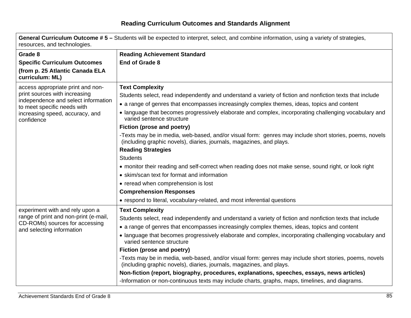**General Curriculum Outcome # 5 –** Students will be expected to interpret, select, and combine information, using a variety of strategies, resources, and technologies.

| Grade 8                                                            | <b>Reading Achievement Standard</b>                                                                                                                                            |  |
|--------------------------------------------------------------------|--------------------------------------------------------------------------------------------------------------------------------------------------------------------------------|--|
| <b>Specific Curriculum Outcomes</b>                                | End of Grade 8                                                                                                                                                                 |  |
| (from p. 25 Atlantic Canada ELA                                    |                                                                                                                                                                                |  |
| curriculum: ML)                                                    |                                                                                                                                                                                |  |
| access appropriate print and non-                                  | <b>Text Complexity</b>                                                                                                                                                         |  |
| print sources with increasing                                      | Students select, read independently and understand a variety of fiction and nonfiction texts that include                                                                      |  |
| independence and select information<br>to meet specific needs with | • a range of genres that encompasses increasingly complex themes, ideas, topics and content                                                                                    |  |
| increasing speed, accuracy, and<br>confidence                      | • language that becomes progressively elaborate and complex, incorporating challenging vocabulary and<br>varied sentence structure                                             |  |
|                                                                    | Fiction (prose and poetry)                                                                                                                                                     |  |
|                                                                    | -Texts may be in media, web-based, and/or visual form: genres may include short stories, poems, novels<br>(including graphic novels), diaries, journals, magazines, and plays. |  |
|                                                                    | <b>Reading Strategies</b>                                                                                                                                                      |  |
|                                                                    | <b>Students</b>                                                                                                                                                                |  |
|                                                                    | • monitor their reading and self-correct when reading does not make sense, sound right, or look right                                                                          |  |
|                                                                    | • skim/scan text for format and information                                                                                                                                    |  |
|                                                                    | • reread when comprehension is lost                                                                                                                                            |  |
|                                                                    | <b>Comprehension Responses</b>                                                                                                                                                 |  |
|                                                                    | • respond to literal, vocabulary-related, and most inferential questions                                                                                                       |  |
| experiment with and rely upon a                                    | <b>Text Complexity</b>                                                                                                                                                         |  |
| range of print and non-print (e-mail,                              | Students select, read independently and understand a variety of fiction and nonfiction texts that include                                                                      |  |
| CD-ROMs) sources for accessing<br>and selecting information        | • a range of genres that encompasses increasingly complex themes, ideas, topics and content                                                                                    |  |
|                                                                    | • language that becomes progressively elaborate and complex, incorporating challenging vocabulary and<br>varied sentence structure                                             |  |
|                                                                    | Fiction (prose and poetry)                                                                                                                                                     |  |
|                                                                    | -Texts may be in media, web-based, and/or visual form: genres may include short stories, poems, novels<br>(including graphic novels), diaries, journals, magazines, and plays. |  |
|                                                                    | Non-fiction (report, biography, procedures, explanations, speeches, essays, news articles)                                                                                     |  |
|                                                                    | -Information or non-continuous texts may include charts, graphs, maps, timelines, and diagrams.                                                                                |  |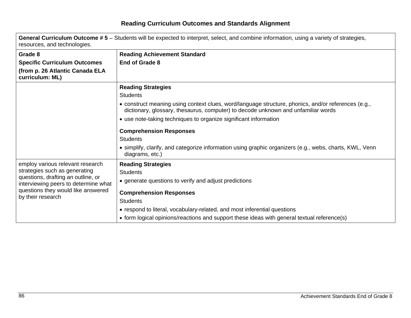| General Curriculum Outcome #5 – Students will be expected to interpret, select, and combine information, using a variety of strategies,<br>resources, and technologies. |                                                                                                                                                                                          |  |
|-------------------------------------------------------------------------------------------------------------------------------------------------------------------------|------------------------------------------------------------------------------------------------------------------------------------------------------------------------------------------|--|
| Grade 8                                                                                                                                                                 | <b>Reading Achievement Standard</b>                                                                                                                                                      |  |
| <b>Specific Curriculum Outcomes</b>                                                                                                                                     | End of Grade 8                                                                                                                                                                           |  |
| (from p. 26 Atlantic Canada ELA<br>curriculum: ML)                                                                                                                      |                                                                                                                                                                                          |  |
|                                                                                                                                                                         | <b>Reading Strategies</b>                                                                                                                                                                |  |
|                                                                                                                                                                         | <b>Students</b>                                                                                                                                                                          |  |
|                                                                                                                                                                         | • construct meaning using context clues, word/language structure, phonics, and/or references (e.g.,<br>dictionary, glossary, thesaurus, computer) to decode unknown and unfamiliar words |  |
|                                                                                                                                                                         | • use note-taking techniques to organize significant information                                                                                                                         |  |
|                                                                                                                                                                         | <b>Comprehension Responses</b>                                                                                                                                                           |  |
|                                                                                                                                                                         | <b>Students</b>                                                                                                                                                                          |  |
|                                                                                                                                                                         | • simplify, clarify, and categorize information using graphic organizers (e.g., webs, charts, KWL, Venn<br>diagrams, etc.)                                                               |  |
| employ various relevant research                                                                                                                                        | <b>Reading Strategies</b>                                                                                                                                                                |  |
| strategies such as generating                                                                                                                                           | <b>Students</b>                                                                                                                                                                          |  |
| questions, drafting an outline, or<br>interviewing peers to determine what                                                                                              | • generate questions to verify and adjust predictions                                                                                                                                    |  |
| questions they would like answered                                                                                                                                      | <b>Comprehension Responses</b>                                                                                                                                                           |  |
| by their research                                                                                                                                                       | <b>Students</b>                                                                                                                                                                          |  |
|                                                                                                                                                                         | • respond to literal, vocabulary-related, and most inferential questions                                                                                                                 |  |
|                                                                                                                                                                         | • form logical opinions/reactions and support these ideas with general textual reference(s)                                                                                              |  |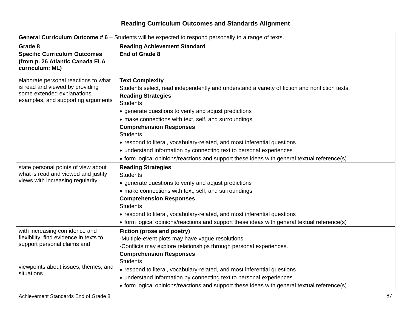# **Reading Curriculum Outcomes and Standards Alignment**

| General Curriculum Outcome $# 6 -$ Students will be expected to respond personally to a range of texts.                                                       |                                                                                                                                                                                                                                                                                                                                                                                                                                                                                                                                                                                                 |  |
|---------------------------------------------------------------------------------------------------------------------------------------------------------------|-------------------------------------------------------------------------------------------------------------------------------------------------------------------------------------------------------------------------------------------------------------------------------------------------------------------------------------------------------------------------------------------------------------------------------------------------------------------------------------------------------------------------------------------------------------------------------------------------|--|
| Grade 8<br><b>Specific Curriculum Outcomes</b><br>(from p. 26 Atlantic Canada ELA<br>curriculum: ML)                                                          | <b>Reading Achievement Standard</b><br>End of Grade 8                                                                                                                                                                                                                                                                                                                                                                                                                                                                                                                                           |  |
| elaborate personal reactions to what<br>is read and viewed by providing<br>some extended explanations,<br>examples, and supporting arguments                  | <b>Text Complexity</b><br>Students select, read independently and understand a variety of fiction and nonfiction texts.<br><b>Reading Strategies</b><br><b>Students</b><br>• generate questions to verify and adjust predictions<br>• make connections with text, self, and surroundings<br><b>Comprehension Responses</b><br><b>Students</b><br>• respond to literal, vocabulary-related, and most inferential questions<br>• understand information by connecting text to personal experiences<br>• form logical opinions/reactions and support these ideas with general textual reference(s) |  |
| state personal points of view about<br>what is read and viewed and justify<br>views with increasing regularity                                                | <b>Reading Strategies</b><br><b>Students</b><br>• generate questions to verify and adjust predictions<br>• make connections with text, self, and surroundings<br><b>Comprehension Responses</b><br><b>Students</b><br>• respond to literal, vocabulary-related, and most inferential questions<br>• form logical opinions/reactions and support these ideas with general textual reference(s)                                                                                                                                                                                                   |  |
| with increasing confidence and<br>flexibility, find evidence in texts to<br>support personal claims and<br>viewpoints about issues, themes, and<br>situations | Fiction (prose and poetry)<br>-Multiple-event plots may have vague resolutions.<br>-Conflicts may explore relationships through personal experiences.<br><b>Comprehension Responses</b><br><b>Students</b><br>• respond to literal, vocabulary-related, and most inferential questions<br>• understand information by connecting text to personal experiences<br>• form logical opinions/reactions and support these ideas with general textual reference(s)                                                                                                                                    |  |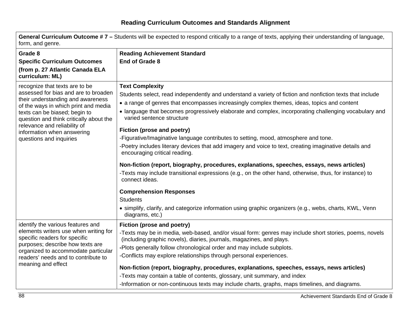**General Curriculum Outcome # 7 –** Students will be expected to respond critically to a range of texts, applying their understanding of language, form, and genre.

| Grade 8                                                                   | <b>Reading Achievement Standard</b>                                                                                                |
|---------------------------------------------------------------------------|------------------------------------------------------------------------------------------------------------------------------------|
| <b>Specific Curriculum Outcomes</b><br>(from p. 27 Atlantic Canada ELA    | <b>End of Grade 8</b>                                                                                                              |
|                                                                           |                                                                                                                                    |
| curriculum: ML)                                                           |                                                                                                                                    |
| recognize that texts are to be                                            | <b>Text Complexity</b>                                                                                                             |
| assessed for bias and are to broaden                                      | Students select, read independently and understand a variety of fiction and nonfiction texts that include                          |
| their understanding and awareness<br>of the ways in which print and media | • a range of genres that encompasses increasingly complex themes, ideas, topics and content                                        |
| texts can be biased; begin to<br>question and think critically about the  | • language that becomes progressively elaborate and complex, incorporating challenging vocabulary and<br>varied sentence structure |
| relevance and reliability of                                              | Fiction (prose and poetry)                                                                                                         |
| information when answering<br>questions and inquiries                     | -Figurative/Imaginative language contributes to setting, mood, atmosphere and tone.                                                |
|                                                                           | -Poetry includes literary devices that add imagery and voice to text, creating imaginative details and                             |
|                                                                           | encouraging critical reading.                                                                                                      |
|                                                                           | Non-fiction (report, biography, procedures, explanations, speeches, essays, news articles)                                         |
|                                                                           | -Texts may include transitional expressions (e.g., on the other hand, otherwise, thus, for instance) to                            |
|                                                                           | connect ideas.                                                                                                                     |
|                                                                           | <b>Comprehension Responses</b>                                                                                                     |
|                                                                           | <b>Students</b>                                                                                                                    |
|                                                                           | • simplify, clarify, and categorize information using graphic organizers (e.g., webs, charts, KWL, Venn<br>diagrams, etc.)         |
| identify the various features and                                         | Fiction (prose and poetry)                                                                                                         |
| elements writers use when writing for                                     | -Texts may be in media, web-based, and/or visual form: genres may include short stories, poems, novels                             |
| specific readers for specific                                             | (including graphic novels), diaries, journals, magazines, and plays.                                                               |
| purposes; describe how texts are<br>organized to accommodate particular   | -Plots generally follow chronological order and may include subplots.                                                              |
| readers' needs and to contribute to                                       | -Conflicts may explore relationships through personal experiences.                                                                 |
| meaning and effect                                                        | Non-fiction (report, biography, procedures, explanations, speeches, essays, news articles)                                         |
|                                                                           | -Texts may contain a table of contents, glossary, unit summary, and index                                                          |
|                                                                           | -Information or non-continuous texts may include charts, graphs, maps timelines, and diagrams.                                     |
|                                                                           |                                                                                                                                    |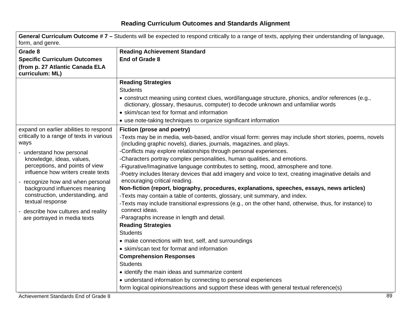| form, and genre.                                                    |                                                                                                                                                                                          |
|---------------------------------------------------------------------|------------------------------------------------------------------------------------------------------------------------------------------------------------------------------------------|
| Grade 8                                                             | <b>Reading Achievement Standard</b>                                                                                                                                                      |
| <b>Specific Curriculum Outcomes</b>                                 | End of Grade 8                                                                                                                                                                           |
| (from p. 27 Atlantic Canada ELA                                     |                                                                                                                                                                                          |
| curriculum: ML)                                                     |                                                                                                                                                                                          |
|                                                                     | <b>Reading Strategies</b>                                                                                                                                                                |
|                                                                     | <b>Students</b>                                                                                                                                                                          |
|                                                                     | • construct meaning using context clues, word/language structure, phonics, and/or references (e.g.,<br>dictionary, glossary, thesaurus, computer) to decode unknown and unfamiliar words |
|                                                                     | • skim/scan text for format and information                                                                                                                                              |
|                                                                     | • use note-taking techniques to organize significant information                                                                                                                         |
| expand on earlier abilities to respond                              | Fiction (prose and poetry)                                                                                                                                                               |
| critically to a range of texts in various<br>ways                   | -Texts may be in media, web-based, and/or visual form: genres may include short stories, poems, novels<br>(including graphic novels), diaries, journals, magazines, and plays.           |
| - understand how personal                                           | Conflicts may explore relationships through personal experiences.                                                                                                                        |
| knowledge, ideas, values,                                           | -Characters portray complex personalities, human qualities, and emotions.                                                                                                                |
| perceptions, and points of view                                     | -Figurative/Imaginative language contributes to setting, mood, atmosphere and tone.                                                                                                      |
| influence how writers create texts                                  | -Poetry includes literary devices that add imagery and voice to text, creating imaginative details and                                                                                   |
| - recognize how and when personal                                   | encouraging critical reading.                                                                                                                                                            |
| background influences meaning                                       | Non-fiction (report, biography, procedures, explanations, speeches, essays, news articles)                                                                                               |
| construction, understanding, and<br>textual response                | -Texts may contain a table of contents, glossary, unit summary, and index.                                                                                                               |
|                                                                     | -Texts may include transitional expressions (e.g., on the other hand, otherwise, thus, for instance) to<br>connect ideas.                                                                |
| - describe how cultures and reality<br>are portrayed in media texts | -Paragraphs increase in length and detail.                                                                                                                                               |
|                                                                     | <b>Reading Strategies</b>                                                                                                                                                                |
|                                                                     | <b>Students</b>                                                                                                                                                                          |
|                                                                     | • make connections with text, self, and surroundings                                                                                                                                     |
|                                                                     | • skim/scan text for format and information                                                                                                                                              |
|                                                                     | <b>Comprehension Responses</b>                                                                                                                                                           |
|                                                                     | <b>Students</b>                                                                                                                                                                          |
|                                                                     | • identify the main ideas and summarize content                                                                                                                                          |
|                                                                     | • understand information by connecting to personal experiences                                                                                                                           |
|                                                                     | form logical opinions/reactions and support these ideas with general textual reference(s)                                                                                                |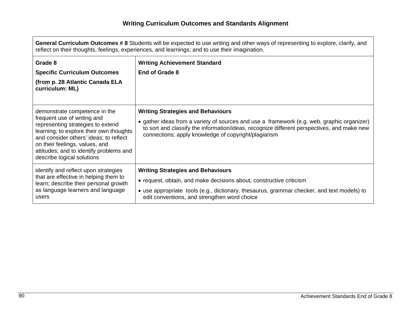| General Curriculum Outcomes #8 Students will be expected to use writing and other ways of representing to explore, clarify, and<br>reflect on their thoughts, feelings, experiences, and learnings; and to use their imagination.                                                                 |                                                                                                                                                                                                                                                                                              |  |
|---------------------------------------------------------------------------------------------------------------------------------------------------------------------------------------------------------------------------------------------------------------------------------------------------|----------------------------------------------------------------------------------------------------------------------------------------------------------------------------------------------------------------------------------------------------------------------------------------------|--|
| Grade 8<br><b>Specific Curriculum Outcomes</b><br>(from p. 28 Atlantic Canada ELA<br>curriculum: ML)                                                                                                                                                                                              | <b>Writing Achievement Standard</b><br>End of Grade 8                                                                                                                                                                                                                                        |  |
| demonstrate competence in the<br>frequent use of writing and<br>representing strategies to extend<br>learning; to explore their own thoughts<br>and consider others' ideas; to reflect<br>on their feelings, values, and<br>attitudes; and to identify problems and<br>describe logical solutions | <b>Writing Strategies and Behaviours</b><br>• gather ideas from a variety of sources and use a framework (e.g. web, graphic organizer)<br>to sort and classify the information/ideas, recognize different perspectives, and make new<br>connections; apply knowledge of copyright/plagiarism |  |
| identify and reflect upon strategies<br>that are effective in helping them to<br>learn; describe their personal growth<br>as language learners and language<br>users                                                                                                                              | <b>Writing Strategies and Behaviours</b><br>• request, obtain, and make decisions about, constructive criticism<br>• use appropriate tools (e.g., dictionary, thesaurus, grammar checker, and text models) to<br>edit conventions, and strengthen word choice                                |  |

 $\Gamma$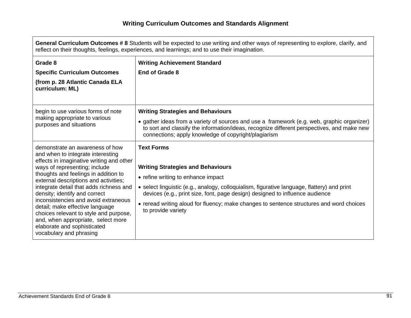| <b>General Curriculum Outcomes # 8</b> Students will be expected to use writing and other ways of representing to explore, clarify, and<br>reflect on their thoughts, feelings, experiences, and learnings; and to use their imagination.                                                                                                                                                                                                                                                                                           |                                                                                                                                                                                                                                                                                                                                                                                                      |  |
|-------------------------------------------------------------------------------------------------------------------------------------------------------------------------------------------------------------------------------------------------------------------------------------------------------------------------------------------------------------------------------------------------------------------------------------------------------------------------------------------------------------------------------------|------------------------------------------------------------------------------------------------------------------------------------------------------------------------------------------------------------------------------------------------------------------------------------------------------------------------------------------------------------------------------------------------------|--|
| Grade 8<br><b>Specific Curriculum Outcomes</b><br>(from p. 28 Atlantic Canada ELA<br>curriculum: ML)                                                                                                                                                                                                                                                                                                                                                                                                                                | <b>Writing Achievement Standard</b><br>End of Grade 8                                                                                                                                                                                                                                                                                                                                                |  |
| begin to use various forms of note<br>making appropriate to various<br>purposes and situations                                                                                                                                                                                                                                                                                                                                                                                                                                      | <b>Writing Strategies and Behaviours</b><br>• gather ideas from a variety of sources and use a framework (e.g. web, graphic organizer)<br>to sort and classify the information/ideas, recognize different perspectives, and make new<br>connections; apply knowledge of copyright/plagiarism                                                                                                         |  |
| demonstrate an awareness of how<br>and when to integrate interesting<br>effects in imaginative writing and other<br>ways of representing; include<br>thoughts and feelings in addition to<br>external descriptions and activities;<br>integrate detail that adds richness and<br>density; identify and correct<br>inconsistencies and avoid extraneous<br>detail; make effective language<br>choices relevant to style and purpose,<br>and, when appropriate, select more<br>elaborate and sophisticated<br>vocabulary and phrasing | <b>Text Forms</b><br><b>Writing Strategies and Behaviours</b><br>• refine writing to enhance impact<br>• select linguistic (e.g., analogy, colloquialism, figurative language, flattery) and print<br>devices (e.g., print size, font, page design) designed to influence audience<br>• reread writing aloud for fluency; make changes to sentence structures and word choices<br>to provide variety |  |

 $\mathbf{I}$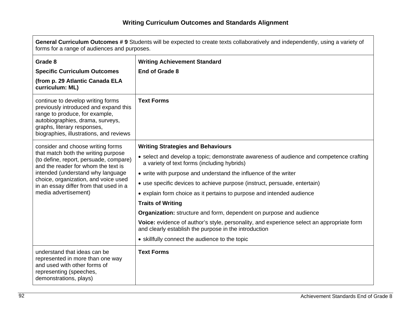| General Curriculum Outcomes #9 Students will be expected to create texts collaboratively and independently, using a variety of<br>forms for a range of audiences and purposes.                                                                                                                           |                                                                                                                                                                                                                                                                                                                                                                                                                                                                                                                                                                                                                                                                                                                        |  |
|----------------------------------------------------------------------------------------------------------------------------------------------------------------------------------------------------------------------------------------------------------------------------------------------------------|------------------------------------------------------------------------------------------------------------------------------------------------------------------------------------------------------------------------------------------------------------------------------------------------------------------------------------------------------------------------------------------------------------------------------------------------------------------------------------------------------------------------------------------------------------------------------------------------------------------------------------------------------------------------------------------------------------------------|--|
| Grade 8                                                                                                                                                                                                                                                                                                  | <b>Writing Achievement Standard</b>                                                                                                                                                                                                                                                                                                                                                                                                                                                                                                                                                                                                                                                                                    |  |
| <b>Specific Curriculum Outcomes</b>                                                                                                                                                                                                                                                                      | End of Grade 8                                                                                                                                                                                                                                                                                                                                                                                                                                                                                                                                                                                                                                                                                                         |  |
| (from p. 29 Atlantic Canada ELA<br>curriculum: ML)                                                                                                                                                                                                                                                       |                                                                                                                                                                                                                                                                                                                                                                                                                                                                                                                                                                                                                                                                                                                        |  |
| continue to develop writing forms<br>previously introduced and expand this<br>range to produce, for example,<br>autobiographies, drama, surveys,<br>graphs, literary responses,<br>biographies, illustrations, and reviews                                                                               | <b>Text Forms</b>                                                                                                                                                                                                                                                                                                                                                                                                                                                                                                                                                                                                                                                                                                      |  |
| consider and choose writing forms<br>that match both the writing purpose<br>(to define, report, persuade, compare)<br>and the reader for whom the text is<br>intended (understand why language<br>choice, organization, and voice used<br>in an essay differ from that used in a<br>media advertisement) | <b>Writing Strategies and Behaviours</b><br>• select and develop a topic; demonstrate awareness of audience and competence crafting<br>a variety of text forms (including hybrids)<br>• write with purpose and understand the influence of the writer<br>• use specific devices to achieve purpose (instruct, persuade, entertain)<br>• explain form choice as it pertains to purpose and intended audience<br><b>Traits of Writing</b><br>Organization: structure and form, dependent on purpose and audience<br>Voice: evidence of author's style, personality, and experience select an appropriate form<br>and clearly establish the purpose in the introduction<br>• skillfully connect the audience to the topic |  |
| understand that ideas can be<br>represented in more than one way<br>and used with other forms of<br>representing (speeches,<br>demonstrations, plays)                                                                                                                                                    | <b>Text Forms</b>                                                                                                                                                                                                                                                                                                                                                                                                                                                                                                                                                                                                                                                                                                      |  |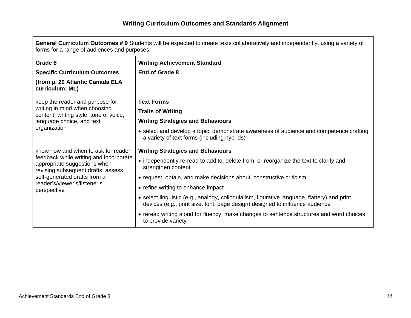| General Curriculum Outcomes #9 Students will be expected to create texts collaboratively and independently, using a variety of<br>forms for a range of audiences and purposes.                                                     |                                                                                                                                                                             |  |
|------------------------------------------------------------------------------------------------------------------------------------------------------------------------------------------------------------------------------------|-----------------------------------------------------------------------------------------------------------------------------------------------------------------------------|--|
| Grade 8                                                                                                                                                                                                                            | <b>Writing Achievement Standard</b>                                                                                                                                         |  |
| <b>Specific Curriculum Outcomes</b>                                                                                                                                                                                                | <b>End of Grade 8</b>                                                                                                                                                       |  |
| (from p. 29 Atlantic Canada ELA<br>curriculum: ML)                                                                                                                                                                                 |                                                                                                                                                                             |  |
| keep the reader and purpose for<br>writing in mind when choosing<br>content, writing style, tone of voice,<br>language choice, and text<br>organization                                                                            | <b>Text Forms</b>                                                                                                                                                           |  |
|                                                                                                                                                                                                                                    | <b>Traits of Writing</b>                                                                                                                                                    |  |
|                                                                                                                                                                                                                                    | <b>Writing Strategies and Behaviours</b>                                                                                                                                    |  |
|                                                                                                                                                                                                                                    | • select and develop a topic; demonstrate awareness of audience and competence crafting<br>a variety of text forms (including hybrids)                                      |  |
| know how and when to ask for reader<br>feedback while writing and incorporate<br>appropriate suggestions when<br>revising subsequent drafts; assess<br>self-generated drafts from a<br>reader's/viewer's/listener's<br>perspective | <b>Writing Strategies and Behaviours</b>                                                                                                                                    |  |
|                                                                                                                                                                                                                                    | • independently re-read to add to, delete from, or reorganize the text to clarify and<br>strengthen content                                                                 |  |
|                                                                                                                                                                                                                                    | • request, obtain, and make decisions about, constructive criticism                                                                                                         |  |
|                                                                                                                                                                                                                                    | • refine writing to enhance impact                                                                                                                                          |  |
|                                                                                                                                                                                                                                    | • select linguistic (e.g., analogy, colloquialism, figurative language, flattery) and print<br>devices (e.g., print size, font, page design) designed to influence audience |  |
|                                                                                                                                                                                                                                    | • reread writing aloud for fluency; make changes to sentence structures and word choices<br>to provide variety                                                              |  |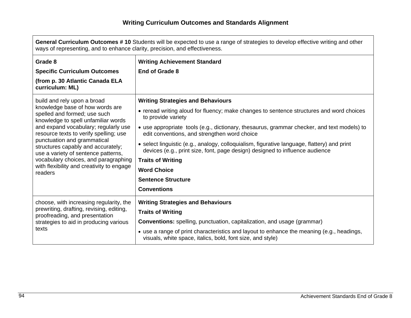| General Curriculum Outcomes #10 Students will be expected to use a range of strategies to develop effective writing and other<br>ways of representing, and to enhance clarity, precision, and effectiveness.                                                                                                                                                                                                                        |                                                                                                                                                                             |  |
|-------------------------------------------------------------------------------------------------------------------------------------------------------------------------------------------------------------------------------------------------------------------------------------------------------------------------------------------------------------------------------------------------------------------------------------|-----------------------------------------------------------------------------------------------------------------------------------------------------------------------------|--|
| Grade 8                                                                                                                                                                                                                                                                                                                                                                                                                             | <b>Writing Achievement Standard</b>                                                                                                                                         |  |
| <b>Specific Curriculum Outcomes</b>                                                                                                                                                                                                                                                                                                                                                                                                 | End of Grade 8                                                                                                                                                              |  |
| (from p. 30 Atlantic Canada ELA<br>curriculum: ML)                                                                                                                                                                                                                                                                                                                                                                                  |                                                                                                                                                                             |  |
| build and rely upon a broad<br>knowledge base of how words are<br>spelled and formed; use such<br>knowledge to spell unfamiliar words<br>and expand vocabulary; regularly use<br>resource texts to verify spelling; use<br>punctuation and grammatical<br>structures capably and accurately;<br>use a variety of sentence patterns,<br>vocabulary choices, and paragraphing<br>with flexibility and creativity to engage<br>readers | <b>Writing Strategies and Behaviours</b>                                                                                                                                    |  |
|                                                                                                                                                                                                                                                                                                                                                                                                                                     | • reread writing aloud for fluency; make changes to sentence structures and word choices<br>to provide variety                                                              |  |
|                                                                                                                                                                                                                                                                                                                                                                                                                                     | • use appropriate tools (e.g., dictionary, thesaurus, grammar checker, and text models) to<br>edit conventions, and strengthen word choice                                  |  |
|                                                                                                                                                                                                                                                                                                                                                                                                                                     | • select linguistic (e.g., analogy, colloquialism, figurative language, flattery) and print<br>devices (e.g., print size, font, page design) designed to influence audience |  |
|                                                                                                                                                                                                                                                                                                                                                                                                                                     | <b>Traits of Writing</b>                                                                                                                                                    |  |
|                                                                                                                                                                                                                                                                                                                                                                                                                                     | <b>Word Choice</b>                                                                                                                                                          |  |
|                                                                                                                                                                                                                                                                                                                                                                                                                                     | <b>Sentence Structure</b>                                                                                                                                                   |  |
|                                                                                                                                                                                                                                                                                                                                                                                                                                     | <b>Conventions</b>                                                                                                                                                          |  |
| choose, with increasing regularity, the<br>prewriting, drafting, revising, editing,<br>proofreading, and presentation<br>strategies to aid in producing various<br>texts                                                                                                                                                                                                                                                            | <b>Writing Strategies and Behaviours</b>                                                                                                                                    |  |
|                                                                                                                                                                                                                                                                                                                                                                                                                                     | <b>Traits of Writing</b>                                                                                                                                                    |  |
|                                                                                                                                                                                                                                                                                                                                                                                                                                     | Conventions: spelling, punctuation, capitalization, and usage (grammar)                                                                                                     |  |
|                                                                                                                                                                                                                                                                                                                                                                                                                                     | • use a range of print characteristics and layout to enhance the meaning (e.g., headings,<br>visuals, white space, italics, bold, font size, and style)                     |  |

 $\Gamma$